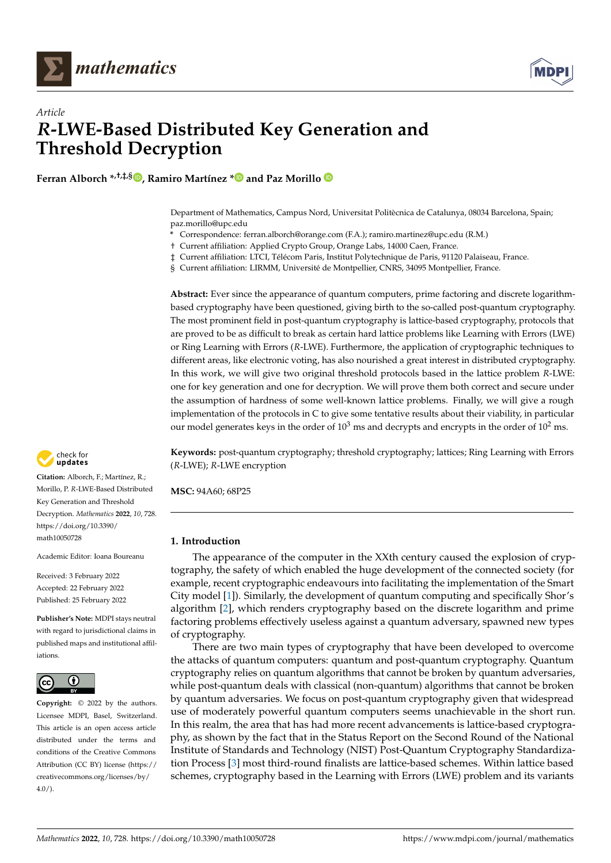



# *Article R***-LWE-Based Distributed Key Generation and Threshold Decryption**

**Ferran Alborch \*,†,‡,§ [,](https://orcid.org/0000-0002-3563-9133) Ramiro Martínez [\\*](https://orcid.org/0000-0003-0496-6462) and Paz Morillo**

Department of Mathematics, Campus Nord, Universitat Politècnica de Catalunya, 08034 Barcelona, Spain; paz.morillo@upc.edu

- **\*** Correspondence: ferran.alborch@orange.com (F.A.); ramiro.martinez@upc.edu (R.M.)
- † Current affiliation: Applied Crypto Group, Orange Labs, 14000 Caen, France.
- ‡ Current affiliation: LTCI, Télécom Paris, Institut Polytechnique de Paris, 91120 Palaiseau, France.
- § Current affiliation: LIRMM, Université de Montpellier, CNRS, 34095 Montpellier, France.

**Abstract:** Ever since the appearance of quantum computers, prime factoring and discrete logarithmbased cryptography have been questioned, giving birth to the so-called post-quantum cryptography. The most prominent field in post-quantum cryptography is lattice-based cryptography, protocols that are proved to be as difficult to break as certain hard lattice problems like Learning with Errors (LWE) or Ring Learning with Errors (*R*-LWE). Furthermore, the application of cryptographic techniques to different areas, like electronic voting, has also nourished a great interest in distributed cryptography. In this work, we will give two original threshold protocols based in the lattice problem *R*-LWE: one for key generation and one for decryption. We will prove them both correct and secure under the assumption of hardness of some well-known lattice problems. Finally, we will give a rough implementation of the protocols in C to give some tentative results about their viability, in particular our model generates keys in the order of  $10^3$  ms and decrypts and encrypts in the order of  $10^2$  ms.

**Keywords:** post-quantum cryptography; threshold cryptography; lattices; Ring Learning with Errors (*R*-LWE); *R*-LWE encryption

**MSC:** 94A60; 68P25

# **1. Introduction**

The appearance of the computer in the XXth century caused the explosion of cryptography, the safety of which enabled the huge development of the connected society (for example, recent cryptographic endeavours into facilitating the implementation of the Smart City model [\[1\]](#page-29-0)). Similarly, the development of quantum computing and specifically Shor's algorithm [\[2\]](#page-29-1), which renders cryptography based on the discrete logarithm and prime factoring problems effectively useless against a quantum adversary, spawned new types of cryptography.

There are two main types of cryptography that have been developed to overcome the attacks of quantum computers: quantum and post-quantum cryptography. Quantum cryptography relies on quantum algorithms that cannot be broken by quantum adversaries, while post-quantum deals with classical (non-quantum) algorithms that cannot be broken by quantum adversaries. We focus on post-quantum cryptography given that widespread use of moderately powerful quantum computers seems unachievable in the short run. In this realm, the area that has had more recent advancements is lattice-based cryptography, as shown by the fact that in the Status Report on the Second Round of the National Institute of Standards and Technology (NIST) Post-Quantum Cryptography Standardization Process [\[3\]](#page-29-2) most third-round finalists are lattice-based schemes. Within lattice based schemes, cryptography based in the Learning with Errors (LWE) problem and its variants



**Citation:** Alborch, F.; Martínez, R.; Morillo, P. *R*-LWE-Based Distributed Key Generation and Threshold Decryption. *Mathematics* **2022**, *10*, 728. [https://doi.org/10.3390/](https://doi.org/10.3390/math10050728) [math10050728](https://doi.org/10.3390/math10050728)

Academic Editor: Ioana Boureanu

Received: 3 February 2022 Accepted: 22 February 2022 Published: 25 February 2022

**Publisher's Note:** MDPI stays neutral with regard to jurisdictional claims in published maps and institutional affiliations.



**Copyright:** © 2022 by the authors. Licensee MDPI, Basel, Switzerland. This article is an open access article distributed under the terms and conditions of the Creative Commons Attribution (CC BY) license [\(https://](https://creativecommons.org/licenses/by/4.0/) [creativecommons.org/licenses/by/](https://creativecommons.org/licenses/by/4.0/)  $4.0/$ ).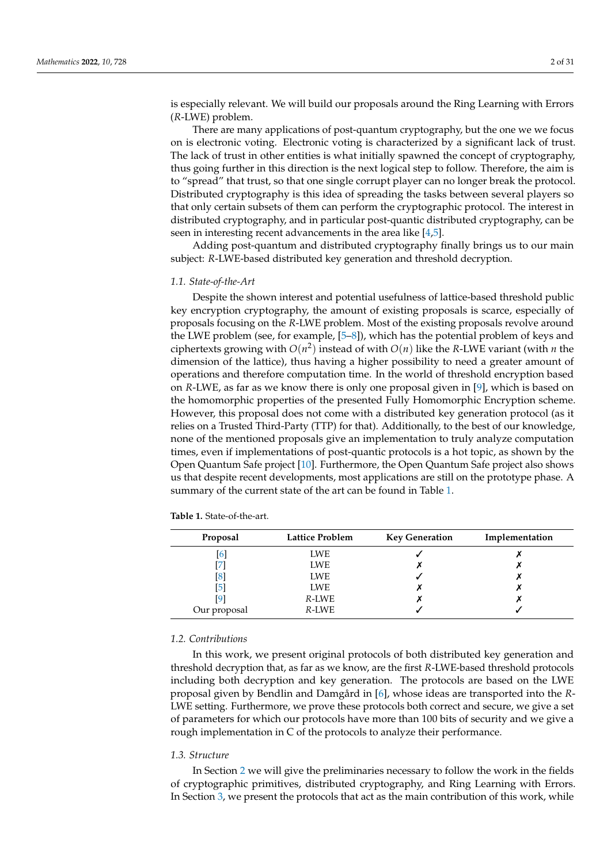is especially relevant. We will build our proposals around the Ring Learning with Errors (*R*-LWE) problem.

There are many applications of post-quantum cryptography, but the one we we focus on is electronic voting. Electronic voting is characterized by a significant lack of trust. The lack of trust in other entities is what initially spawned the concept of cryptography, thus going further in this direction is the next logical step to follow. Therefore, the aim is to "spread" that trust, so that one single corrupt player can no longer break the protocol. Distributed cryptography is this idea of spreading the tasks between several players so that only certain subsets of them can perform the cryptographic protocol. The interest in distributed cryptography, and in particular post-quantic distributed cryptography, can be seen in interesting recent advancements in the area like [\[4](#page-29-3)[,5\]](#page-29-4).

Adding post-quantum and distributed cryptography finally brings us to our main subject: *R*-LWE-based distributed key generation and threshold decryption.

## *1.1. State-of-the-Art*

Despite the shown interest and potential usefulness of lattice-based threshold public key encryption cryptography, the amount of existing proposals is scarce, especially of proposals focusing on the *R*-LWE problem. Most of the existing proposals revolve around the LWE problem (see, for example, [\[5–](#page-29-4)[8\]](#page-29-5)), which has the potential problem of keys and ciphertexts growing with  $O(n^2)$  instead of with  $O(n)$  like the *R*-LWE variant (with *n* the dimension of the lattice), thus having a higher possibility to need a greater amount of operations and therefore computation time. In the world of threshold encryption based on *R*-LWE, as far as we know there is only one proposal given in [\[9\]](#page-29-6), which is based on the homomorphic properties of the presented Fully Homomorphic Encryption scheme. However, this proposal does not come with a distributed key generation protocol (as it relies on a Trusted Third-Party (TTP) for that). Additionally, to the best of our knowledge, none of the mentioned proposals give an implementation to truly analyze computation times, even if implementations of post-quantic protocols is a hot topic, as shown by the Open Quantum Safe project [\[10\]](#page-29-7). Furthermore, the Open Quantum Safe project also shows us that despite recent developments, most applications are still on the prototype phase. A summary of the current state of the art can be found in Table [1.](#page-1-0)

| Proposal          | <b>Lattice Problem</b> | <b>Key Generation</b> | Implementation |
|-------------------|------------------------|-----------------------|----------------|
| $\lceil 6 \rceil$ | <b>LWE</b>             |                       |                |
|                   | <b>LWE</b>             |                       |                |
| [8]               | <b>LWE</b>             |                       |                |
| [5]               | <b>LWE</b>             |                       |                |
| [9]               | R-LWE                  |                       |                |
| Our proposal      | R-LWE                  |                       |                |

<span id="page-1-0"></span>**Table 1.** State-of-the-art.

## *1.2. Contributions*

In this work, we present original protocols of both distributed key generation and threshold decryption that, as far as we know, are the first *R*-LWE-based threshold protocols including both decryption and key generation. The protocols are based on the LWE proposal given by Bendlin and Damgård in [\[6\]](#page-29-8), whose ideas are transported into the *R*-LWE setting. Furthermore, we prove these protocols both correct and secure, we give a set of parameters for which our protocols have more than 100 bits of security and we give a rough implementation in C of the protocols to analyze their performance.

## *1.3. Structure*

In Section [2](#page-2-0) we will give the preliminaries necessary to follow the work in the fields of cryptographic primitives, distributed cryptography, and Ring Learning with Errors. In Section [3,](#page-7-0) we present the protocols that act as the main contribution of this work, while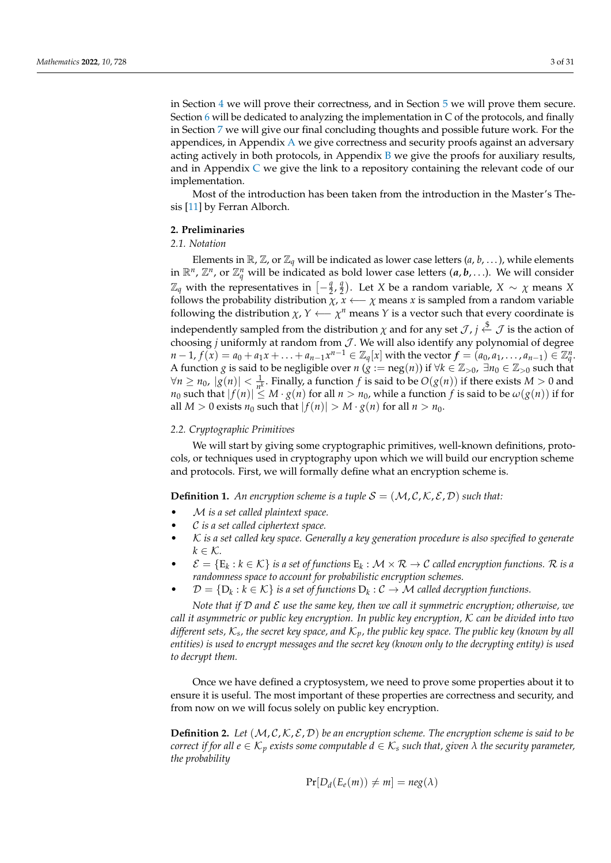in Section [4](#page-10-0) we will prove their correctness, and in Section [5](#page-11-0) we will prove them secure. Section [6](#page-16-0) will be dedicated to analyzing the implementation in C of the protocols, and finally in Section [7](#page-20-0) we will give our final concluding thoughts and possible future work. For the appendices, in Appendix [A](#page-22-0) we give correctness and security proofs against an adversary acting actively in both protocols, in Appendix [B](#page-25-0) we give the proofs for auxiliary results, and in Appendix [C](#page-29-10) we give the link to a repository containing the relevant code of our implementation.

Most of the introduction has been taken from the introduction in the Master's Thesis [\[11\]](#page-29-11) by Ferran Alborch.

# <span id="page-2-0"></span>**2. Preliminaries**

## *2.1. Notation*

Elements in  $\mathbb{R}$ ,  $\mathbb{Z}$ , or  $\mathbb{Z}_q$  will be indicated as lower case letters  $(a, b, \dots)$ , while elements in  $\mathbb{R}^n$ ,  $\mathbb{Z}^n$ , or  $\mathbb{Z}_q^n$  will be indicated as bold lower case letters  $(a, b, \ldots)$ . We will consider  $\mathbb{Z}_q$  with the representatives in  $\left[-\frac{q}{2}\right]$  $\frac{q}{2}$ ,  $\frac{q}{2}$  $\left(\frac{q}{2}\right)$ . Let *X* be a random variable, *X*  $\sim \chi$  means *X* follows the probability distribution  $\chi$ ,  $x \leftarrow \chi$  means  $x$  is sampled from a random variable following the distribution  $\chi$ ,  $Y \longleftarrow \chi^n$  means  $Y$  is a vector such that every coordinate is independently sampled from the distribution  $\chi$  and for any set  $\mathcal{J}$ ,  $j \stackrel{\$}{\leftarrow} \mathcal{J}$  is the action of choosing *j* uniformly at random from  $J$ . We will also identify any polynomial of degree  $n-1$ ,  $f(x) = a_0 + a_1x + ... + a_{n-1}x^{n-1} \in \mathbb{Z}_q[x]$  with the vector  $f = (a_0, a_1, ..., a_{n-1}) \in \mathbb{Z}_q^n$ . A function *g* is said to be negligible over *n* ( $g := neg(n)$ ) if  $\forall k \in \mathbb{Z}_{>0}$ ,  $\exists n_0 \in \mathbb{Z}_{>0}$  such that  $∀n ≥ n<sub>0</sub>, |g(n)| < \frac{1}{n<sup>k</sup>}$ . Finally, a function *f* is said to be  $O(g(n))$  if there exists *M* > 0 and *n*<sub>0</sub> such that  $|f(n)| \le M \cdot g(n)$  for all  $n > n_0$ , while a function *f* is said to be  $\omega(g(n))$  if for all  $M > 0$  exists  $n_0$  such that  $|f(n)| > M \cdot g(n)$  for all  $n > n_0$ .

# *2.2. Cryptographic Primitives*

We will start by giving some cryptographic primitives, well-known definitions, protocols, or techniques used in cryptography upon which we will build our encryption scheme and protocols. First, we will formally define what an encryption scheme is.

**Definition 1.** An encryption scheme is a tuple  $S = (\mathcal{M}, \mathcal{C}, \mathcal{K}, \mathcal{E}, \mathcal{D})$  such that:

- M *is a set called plaintext space.*
- C *is a set called ciphertext space.*
- K *is a set called key space. Generally a key generation procedure is also specified to generate*  $k \in \mathcal{K}$ *.*
- $\mathcal{E} = \{E_k : k \in \mathcal{K}\}$  *is a set of functions*  $E_k : \mathcal{M} \times \mathcal{R} \to \mathcal{C}$  *called encryption functions.*  $\mathcal{R}$  *is a randomness space to account for probabilistic encryption schemes.*
- $\mathcal{D} = \{D_k : k \in \mathcal{K}\}$  *is a set of functions*  $D_k : \mathcal{C} \to \mathcal{M}$  *called decryption functions.*

*Note that if* D *and* E *use the same key, then we call it symmetric encryption; otherwise, we call it asymmetric or public key encryption. In public key encryption,* K *can be divided into two different sets,* K*<sup>s</sup> , the secret key space, and* K*p, the public key space. The public key (known by all entities) is used to encrypt messages and the secret key (known only to the decrypting entity) is used to decrypt them.*

Once we have defined a cryptosystem, we need to prove some properties about it to ensure it is useful. The most important of these properties are correctness and security, and from now on we will focus solely on public key encryption.

**Definition 2.** Let  $(M, C, K, \mathcal{E}, \mathcal{D})$  be an encryption scheme. The encryption scheme is said to be *correct if for all*  $e \in K_p$  *exists some computable*  $d \in K_s$  *such that, given*  $\lambda$  *the security parameter, the probability*

$$
Pr[D_d(E_e(m)) \neq m] = neg(\lambda)
$$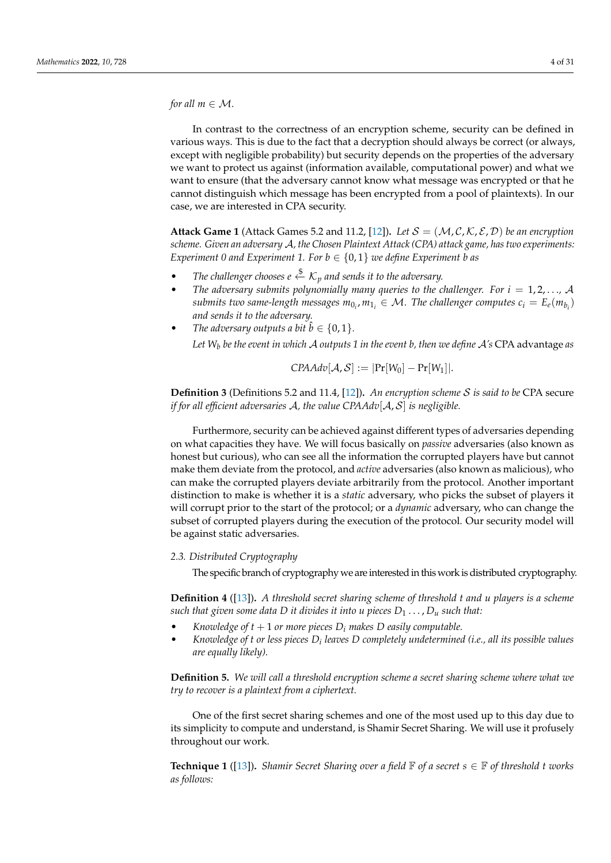*for all*  $m \in \mathcal{M}$ *.* 

In contrast to the correctness of an encryption scheme, security can be defined in various ways. This is due to the fact that a decryption should always be correct (or always, except with negligible probability) but security depends on the properties of the adversary we want to protect us against (information available, computational power) and what we want to ensure (that the adversary cannot know what message was encrypted or that he cannot distinguish which message has been encrypted from a pool of plaintexts). In our case, we are interested in CPA security.

**Attack Game 1** (Attack Games 5.2 and 11.2, [\[12\]](#page-29-12)). Let  $S = (\mathcal{M}, \mathcal{C}, \mathcal{K}, \mathcal{E}, \mathcal{D})$  be an encryption *scheme. Given an adversary* A*, the Chosen Plaintext Attack (CPA) attack game, has two experiments: Experiment 0 and Experiment 1. For*  $b \in \{0, 1\}$  *we define Experiment b as* 

- *The challenger chooses e*  $\overset{\text{\$}}{\leftarrow}$   $K_p$  *and sends it to the adversary.*
- The adversary submits polynomially many queries to the challenger. For  $i = 1, 2, \ldots, \mathcal{A}$ *submits two same-length messages*  $m_{0_i}$ *,*  $m_{1_i} \in \mathcal{M}$ *. The challenger computes*  $c_i = E_e(m_{b_i})$ *and sends it to the adversary.*
- *The adversary outputs a bit*  $\hat{b} \in \{0, 1\}$ *. Let W<sup>b</sup> be the event in which* A *outputs 1 in the event b, then we define* A*'s* CPA advantage *as*

$$
CPAAdv[\mathcal{A}, \mathcal{S}] := |\Pr[W_0] - \Pr[W_1]|.
$$

**Definition 3** (Definitions 5.2 and 11.4, [\[12\]](#page-29-12))**.** *An encryption scheme* S *is said to be* CPA secure *if for all efficient adversaries* A*, the value CPAAdv*[A, S] *is negligible.*

Furthermore, security can be achieved against different types of adversaries depending on what capacities they have. We will focus basically on *passive* adversaries (also known as honest but curious), who can see all the information the corrupted players have but cannot make them deviate from the protocol, and *active* adversaries (also known as malicious), who can make the corrupted players deviate arbitrarily from the protocol. Another important distinction to make is whether it is a *static* adversary, who picks the subset of players it will corrupt prior to the start of the protocol; or a *dynamic* adversary, who can change the subset of corrupted players during the execution of the protocol. Our security model will be against static adversaries.

## *2.3. Distributed Cryptography*

The specific branch of cryptography we are interested in this work is distributed cryptography.

**Definition 4** ([\[13\]](#page-29-13))**.** *A threshold secret sharing scheme of threshold t and u players is a scheme such that given some data D it divides it into u pieces*  $D_1 \ldots, D_u$  *such that:* 

- *Knowledge of*  $t + 1$  *or more pieces*  $D_i$  *makes*  $D$  *easily computable.*
- *Knowledge of t or less pieces D<sup>i</sup> leaves D completely undetermined (i.e., all its possible values are equally likely).*

**Definition 5.** *We will call a threshold encryption scheme a secret sharing scheme where what we try to recover is a plaintext from a ciphertext.*

One of the first secret sharing schemes and one of the most used up to this day due to its simplicity to compute and understand, is Shamir Secret Sharing. We will use it profusely throughout our work.

**Technique 1** ([\[13\]](#page-29-13)). *Shamir Secret Sharing over a field*  $\mathbb{F}$  *of a secret*  $s \in \mathbb{F}$  *of threshold t works as follows:*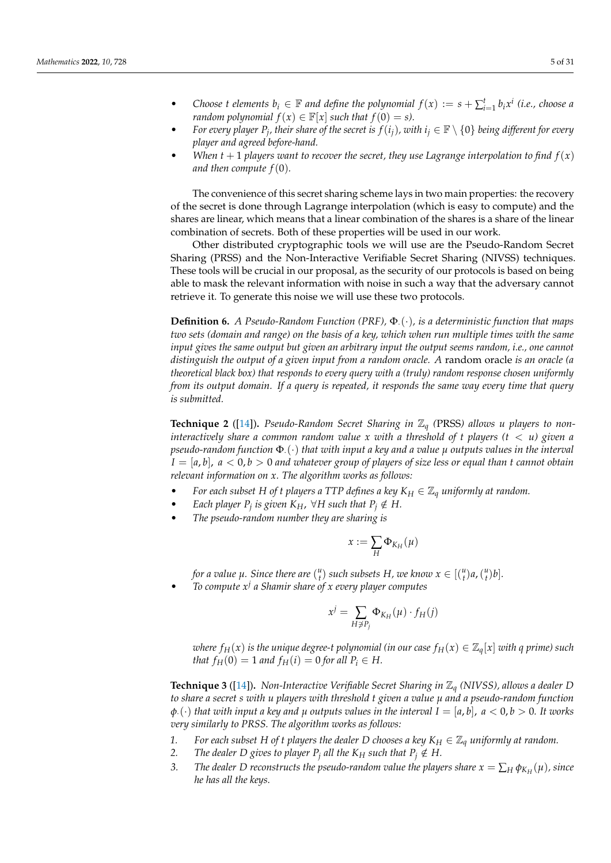- Choose *t* elements  $b_i \in \mathbb{F}$  and define the polynomial  $f(x) := s + \sum_{i=1}^{t} b_i x^i$  (i.e., choose a *random polynomial*  $f(x) \in \mathbb{F}[x]$  *such that*  $f(0) = s$ .
- For every player  $P_j$ , their share of the secret is  $f(i_j)$ , with  $i_j \in \mathbb{F} \setminus \{0\}$  being different for every *player and agreed before-hand.*
- *When*  $t + 1$  *players want to recover the secret, they use Lagrange interpolation to find*  $f(x)$ *and then compute*  $f(0)$ *.*

The convenience of this secret sharing scheme lays in two main properties: the recovery of the secret is done through Lagrange interpolation (which is easy to compute) and the shares are linear, which means that a linear combination of the shares is a share of the linear combination of secrets. Both of these properties will be used in our work.

Other distributed cryptographic tools we will use are the Pseudo-Random Secret Sharing (PRSS) and the Non-Interactive Verifiable Secret Sharing (NIVSS) techniques. These tools will be crucial in our proposal, as the security of our protocols is based on being able to mask the relevant information with noise in such a way that the adversary cannot retrieve it. To generate this noise we will use these two protocols.

**Definition 6.** *A Pseudo-Random Function (PRF),* Φ.(·), *is a deterministic function that maps two sets (domain and range) on the basis of a key, which when run multiple times with the same input gives the same output but given an arbitrary input the output seems random, i.e., one cannot distinguish the output of a given input from a random oracle. A* random oracle *is an oracle (a theoretical black box) that responds to every query with a (truly) random response chosen uniformly from its output domain. If a query is repeated, it responds the same way every time that query is submitted.*

<span id="page-4-0"></span>**Technique 2** ([\[14\]](#page-29-14))**.** *Pseudo-Random Secret Sharing in* Z*<sup>q</sup> (*PRSS*) allows u players to noninteractively share a common random value x with a threshold of t players (t*  $\langle u \rangle$  *given a pseudo-random function* Φ·(·) *that with input a key and a value µ outputs values in the interval*  $I = [a, b]$ ,  $a < 0, b > 0$  and whatever group of players of size less or equal than *t* cannot obtain *relevant information on x. The algorithm works as follows:*

- *For each subset H of t players a TTP defines a key*  $K_H \in \mathbb{Z}_q$  *uniformly at random.*
- *Each player P<sub>j</sub> is given*  $K_H$ ,  $\forall H$  *such that*  $P_j \notin H$ .
- *The pseudo-random number they are sharing is*

$$
x:=\sum_H \Phi_{K_H}(\mu)
$$

*for a value*  $\mu$ *. Since there are*  $\binom{u}{t}$  such subsets  $H$ *, we know*  $x \in \binom{u}{t}$ *a*,  $\binom{u}{t}$ *b*]*.* 

• *To compute x<sup>j</sup> a Shamir share of x every player computes*

$$
x^j = \sum_{H \not\supseteq P_j} \Phi_{K_H}(\mu) \cdot f_H(j)
$$

*where*  $f_H(x)$  *is the unique degree-t polynomial (in our case*  $f_H(x) \in \mathbb{Z}_q[x]$  *with q prime*) such *that*  $f_H(0) = 1$  *and*  $f_H(i) = 0$  *for all*  $P_i \in H$ *.* 

<span id="page-4-1"></span>**Technique 3** ([\[14\]](#page-29-14))**.** *Non-Interactive Verifiable Secret Sharing in* Z*<sup>q</sup> (NIVSS), allows a dealer D to share a secret s with u players with threshold t given a value µ and a pseudo-random function*  $\varphi$ .  $\langle \cdot \rangle$  *that with input a key and*  $\mu$  *outputs values in the interval*  $I = [a, b]$ *,*  $a < 0, b > 0$ *. It works very similarly to PRSS. The algorithm works as follows:*

- *1.* For each subset H of t players the dealer D chooses a key  $K_H \in \mathbb{Z}_q$  uniformly at random.
- *2. The dealer D gives to player P<sub><i>j*</sub> all the K<sub>*H*</sub> such that  $P_j \notin H$ .
- *3. The dealer D reconstructs the pseudo-random value the players share*  $x = \sum_H \phi_{K_H}(\mu)$ *, since he has all the keys.*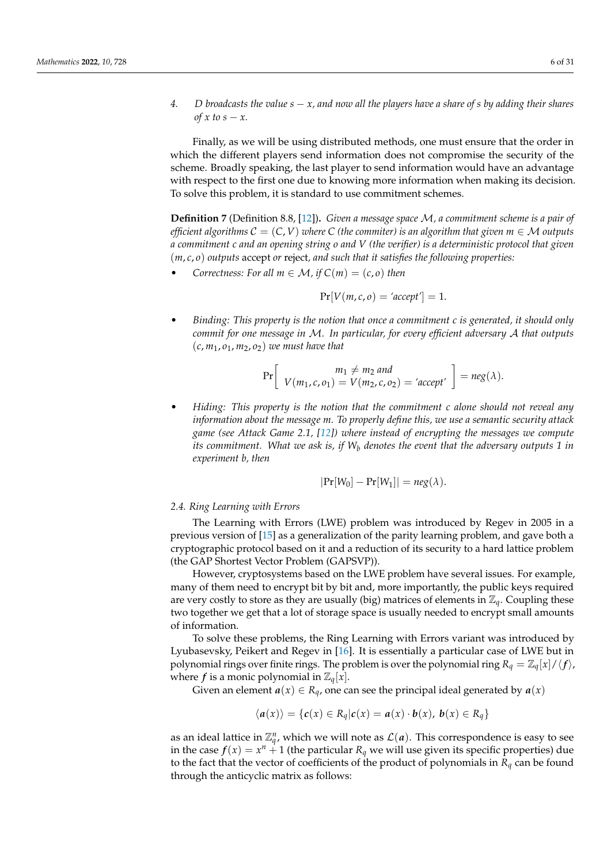*4. D broadcasts the value s* − *x, and now all the players have a share of s by adding their shares of*  $x$  *to*  $s - x$ *.* 

Finally, as we will be using distributed methods, one must ensure that the order in which the different players send information does not compromise the security of the scheme. Broadly speaking, the last player to send information would have an advantage with respect to the first one due to knowing more information when making its decision. To solve this problem, it is standard to use commitment schemes.

**Definition 7** (Definition 8.8, [\[12\]](#page-29-12))**.** *Given a message space* M*, a commitment scheme is a pair of efficient algorithms*  $C = (C, V)$  *where*  $C$  *(the commiter) is an algorithm that given*  $m \in M$  *outputs a commitment c and an opening string o and V (the verifier) is a deterministic protocol that given* (*m*, *c*, *o*) *outputs* accept *or* reject*, and such that it satisfies the following properties:*

*Correctness: For all*  $m \in \mathcal{M}$ *, if*  $C(m) = (c, o)$  *then* 

$$
Pr[V(m, c, o) = 'accept'] = 1.
$$

• *Binding: This property is the notion that once a commitment c is generated, it should only commit for one message in* M*. In particular, for every efficient adversary* A *that outputs* (*c*, *m*1, *o*1, *m*2, *o*2) *we must have that*

$$
Pr\left[\begin{array}{c}m_1 \neq m_2 \text{ and } \\V(m_1, c, o_1) = V(m_2, c, o_2) = 'accept' \end{array}\right] = neg(\lambda).
$$

• *Hiding: This property is the notion that the commitment c alone should not reveal any information about the message m. To properly define this, we use a semantic security attack game (see Attack Game 2.1, [\[12\]](#page-29-12)) where instead of encrypting the messages we compute its commitment. What we ask is, if W<sup>b</sup> denotes the event that the adversary outputs 1 in experiment b, then*

$$
|\Pr[W_0] - \Pr[W_1]| = neg(\lambda).
$$

## *2.4. Ring Learning with Errors*

The Learning with Errors (LWE) problem was introduced by Regev in 2005 in a previous version of [\[15\]](#page-29-15) as a generalization of the parity learning problem, and gave both a cryptographic protocol based on it and a reduction of its security to a hard lattice problem (the GAP Shortest Vector Problem (GAPSVP)).

However, cryptosystems based on the LWE problem have several issues. For example, many of them need to encrypt bit by bit and, more importantly, the public keys required are very costly to store as they are usually (big) matrices of elements in  $\mathbb{Z}_q$ . Coupling these two together we get that a lot of storage space is usually needed to encrypt small amounts of information.

To solve these problems, the Ring Learning with Errors variant was introduced by Lyubasevsky, Peikert and Regev in [\[16\]](#page-29-16). It is essentially a particular case of LWE but in polynomial rings over finite rings. The problem is over the polynomial ring  $R_q = \mathbb{Z}_q[x]/\langle f \rangle$ , where *f* is a monic polynomial in  $\mathbb{Z}_q[x]$ .

Given an element  $a(x) \in R_q$ , one can see the principal ideal generated by  $a(x)$ 

$$
\langle a(x) \rangle = \{c(x) \in R_q | c(x) = a(x) \cdot b(x), b(x) \in R_q \}
$$

as an ideal lattice in  $\mathbb{Z}_q^n$ , which we will note as  $\mathcal{L}(a)$ . This correspondence is easy to see in the case  $f(x) = x^n + 1$  (the particular  $R_q$  we will use given its specific properties) due to the fact that the vector of coefficients of the product of polynomials in *R<sup>q</sup>* can be found through the anticyclic matrix as follows: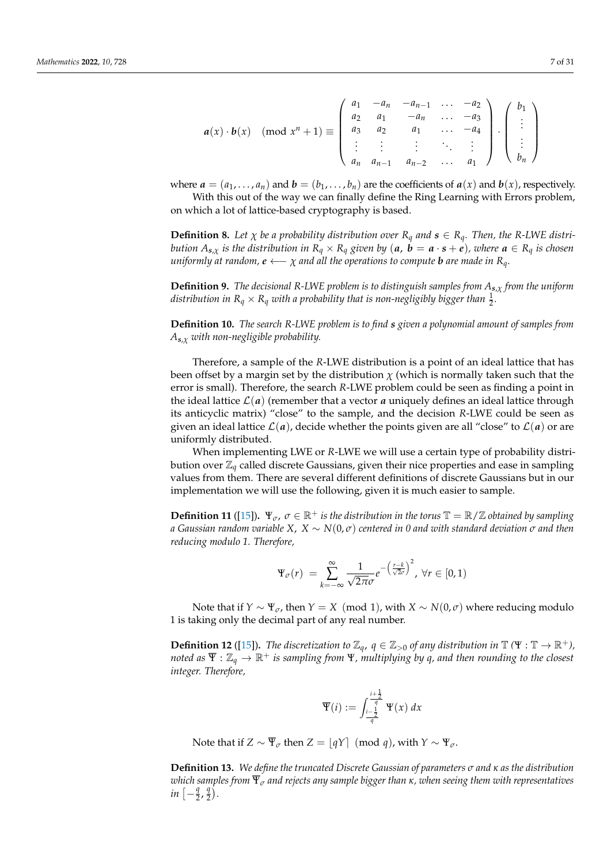$$
a(x) \cdot b(x) \quad (\text{mod } x^n + 1) \equiv \begin{pmatrix} a_1 & -a_n & -a_{n-1} & \dots & -a_2 \\ a_2 & a_1 & -a_n & \dots & -a_3 \\ a_3 & a_2 & a_1 & \dots & -a_4 \\ \vdots & \vdots & \vdots & \ddots & \vdots \\ a_n & a_{n-1} & a_{n-2} & \dots & a_1 \end{pmatrix} \cdot \begin{pmatrix} b_1 \\ \vdots \\ b_n \end{pmatrix}
$$

where  $\mathbf{a} = (a_1, \ldots, a_n)$  and  $\mathbf{b} = (b_1, \ldots, b_n)$  are the coefficients of  $\mathbf{a}(x)$  and  $\mathbf{b}(x)$ , respectively. With this out of the way we can finally define the Ring Learning with Errors problem,

on which a lot of lattice-based cryptography is based.

<span id="page-6-0"></span>**Definition 8.** Let  $\chi$  be a probability distribution over  $R_q$  and  $s \in R_q$ . Then, the R-LWE distribution  $A_{s,x}$  is the distribution in  $R_q \times R_q$  given by  $(a, b = a \cdot s + e)$ , where  $a \in R_q$  is chosen *uniformly at random,*  $e \leftarrow \chi$  *and all the operations to compute b are made in*  $R_q$ *.* 

**Definition 9.** *The decisional R-LWE problem is to distinguish samples from As*,*<sup>χ</sup> from the uniform* distribution in  $R_q \times R_q$  with a probability that is non-negligibly bigger than  $\frac{1}{2}.$ 

**Definition 10.** *The search R-LWE problem is to find s given a polynomial amount of samples from As*,*<sup>χ</sup> with non-negligible probability.*

Therefore, a sample of the *R*-LWE distribution is a point of an ideal lattice that has been offset by a margin set by the distribution  $\chi$  (which is normally taken such that the error is small). Therefore, the search *R*-LWE problem could be seen as finding a point in the ideal lattice  $\mathcal{L}(a)$  (remember that a vector  $a$  uniquely defines an ideal lattice through its anticyclic matrix) "close" to the sample, and the decision *R*-LWE could be seen as given an ideal lattice  $\mathcal{L}(a)$ , decide whether the points given are all "close" to  $\mathcal{L}(a)$  or are uniformly distributed.

When implementing LWE or *R*-LWE we will use a certain type of probability distribution over  $\mathbb{Z}_q$  called discrete Gaussians, given their nice properties and ease in sampling values from them. There are several different definitions of discrete Gaussians but in our implementation we will use the following, given it is much easier to sample.

**Definition 11** ([\[15\]](#page-29-15)).  $\Psi_{\sigma}$ ,  $\sigma \in \mathbb{R}^+$  *is the distribution in the torus*  $\mathbb{T} = \mathbb{R}/\mathbb{Z}$  *obtained by sampling a Gaussian random variable X*, *X* ∼ *N*(0, *σ*) *centered in 0 and with standard deviation σ and then reducing modulo 1. Therefore,*

$$
\Psi_{\sigma}(r) = \sum_{k=-\infty}^{\infty} \frac{1}{\sqrt{2\pi}\sigma} e^{-\left(\frac{r-k}{\sqrt{2}\sigma}\right)^2}, \ \forall r \in [0,1)
$$

Note that if  $Y \sim \Psi_{\sigma}$ , then  $Y = X \pmod{1}$ , with  $X \sim N(0, \sigma)$  where reducing modulo 1 is taking only the decimal part of any real number.

**Definition 12** ([\[15\]](#page-29-15)). *The discretization to*  $\mathbb{Z}_q$ ,  $q \in \mathbb{Z}_{>0}$  *of any distribution in*  $\mathbb{T}$  ( $\Psi : \mathbb{T} \to \mathbb{R}^+$ *)*, *noted as*  $\overline{\Psi}$  :  $\mathbb{Z}_q \to \mathbb{R}^+$  *is sampling from*  $\Psi$ *, multiplying by q, and then rounding to the closest integer. Therefore,*

$$
\overline{\Psi}(i) := \int_{\frac{i-\frac{1}{2}}{q}}^{\frac{i+\frac{1}{2}}{q}} \Psi(x) \, dx
$$

Note that if  $Z \sim \overline{\Psi}_{\sigma}$  then  $Z = [qY] \pmod{q}$ , with  $Y \sim \Psi_{\sigma}$ .

<span id="page-6-1"></span>**Definition 13.** *We define the truncated Discrete Gaussian of parameters σ and κ as the distribution which samples from* Ψ*<sup>σ</sup> and rejects any sample bigger than κ, when seeing them with representatives*  $in \left[-\frac{q}{2}\right]$  $\frac{q}{2}$ ,  $\frac{q}{2}$  $\frac{q}{2}$ .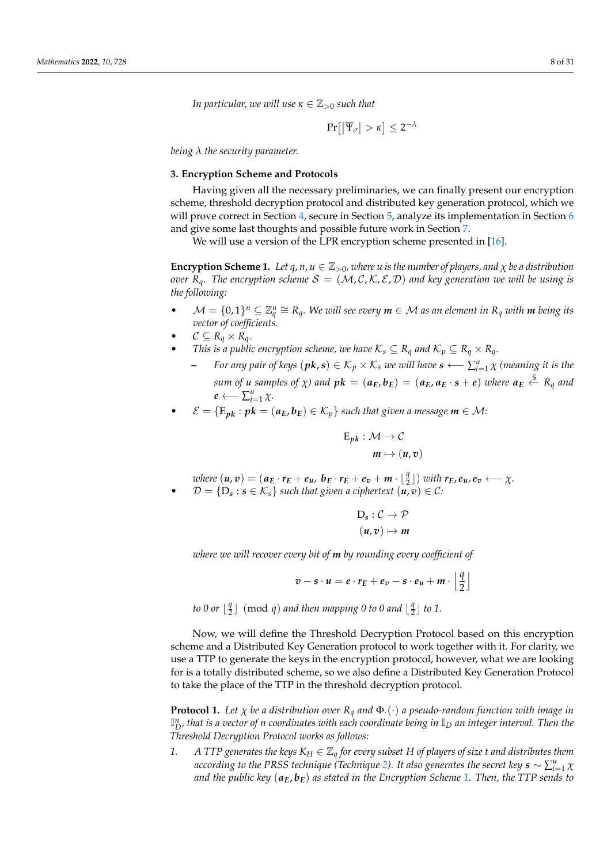*In particular, we will use*  $\kappa \in \mathbb{Z}_{>0}$  *such that* 

 $\Pr\left[\left|\overline{\Psi}_{\sigma}\right| > \kappa\right] \leq 2^{-\lambda}$ 

*being λ the security parameter.*

# <span id="page-7-0"></span>**3. Encryption Scheme and Protocols**

Having given all the necessary preliminaries, we can finally present our encryption scheme, threshold decryption protocol and distributed key generation protocol, which we will prove correct in Section [4,](#page-10-0) secure in Section [5,](#page-11-0) analyze its implementation in Section [6](#page-16-0) and give some last thoughts and possible future work in Section [7.](#page-20-0)

We will use a version of the LPR encryption scheme presented in [\[16\]](#page-29-16).

<span id="page-7-1"></span>**Encryption Scheme 1.** *Let*  $q$ ,  $n$ ,  $u \in \mathbb{Z}_{>0}$ , where  $u$  is the number of players, and  $\chi$  be a distribution *over*  $R_q$ *. The encryption scheme*  $S = (M, C, K, \mathcal{E}, \mathcal{D})$  *and key generation we will be using is the following:*

- $\mathcal{M} = \{0,1\}^n \subseteq \mathbb{Z}_q^n \cong R_q$ . We will see every  $m \in \mathcal{M}$  as an element in  $R_q$  with  $m$  being its *vector of coefficients.*
- $\mathcal{C} \subseteq R_q \times R_q$ .
- *This is a public encryption scheme, we have*  $K_s \subseteq R_q$  *and*  $K_p \subseteq R_q \times R_q$ *.* 
	- **–** *For any pair of keys* (*pk*, *s*) ∈ K*<sup>p</sup>* × K*<sup>s</sup> we will have s* ←− ∑ *u i*=1 *χ (meaning it is the* sum of u samples of  $\chi$ ) and  $pk=(a_E,b_E)=(a_E,a_E\cdot s+e)$  where  $a_E\stackrel{\$}{\leftarrow} R_q$  and  $e \longleftarrow \sum_{i=1}^u \chi$ *.*
- $\mathcal{E} = \{E_{pk} : pk = (a_E, b_E) \in \mathcal{K}_p\}$  such that given a message  $m \in \mathcal{M}$ :

$$
E_{pk}: \mathcal{M} \to \mathcal{C}
$$

$$
m \mapsto (u, v)
$$

where  $(u, v) = (a_E \cdot r_E + e_u, b_E \cdot r_E + e_v + m \cdot \lfloor \frac{q}{2} \rfloor)$  with  $r_E, e_u, e_v \longleftarrow \chi$ .  $\mathcal{D} = \{D_s : s \in \mathcal{K}_s\}$  such that given a ciphertext  $(u, v) \in \mathcal{C}$ :

$$
D_s : C \to \mathcal{P}
$$

$$
(u, v) \mapsto m
$$

*where we will recover every bit of m by rounding every coefficient of*

$$
v - s \cdot u = e \cdot r_E + e_v - s \cdot e_u + m \cdot \left\lfloor \frac{q}{2} \right\rfloor
$$

*to 0 or*  $\frac{q}{2}$  $\frac{q}{2}$ ] (mod *q*) and then mapping 0 to 0 and  $\lfloor \frac{q}{2} \rfloor$  $\frac{q}{2}$  to 1.

Now, we will define the Threshold Decryption Protocol based on this encryption scheme and a Distributed Key Generation protocol to work together with it. For clarity, we use a TTP to generate the keys in the encryption protocol, however, what we are looking for is a totally distributed scheme, so we also define a Distributed Key Generation Protocol to take the place of the TTP in the threshold decryption protocol.

<span id="page-7-2"></span>**Protocol 1.** Let  $\chi$  be a distribution over  $R_q$  and  $\Phi$ .( $\cdot$ ) a pseudo-random function with image in  $\mathbb{I}^n_D$ , that is a vector of  $n$  coordinates with each coordinate being in  $\mathbb{I}_D$  an integer interval. Then the *Threshold Decryption Protocol works as follows:*

*1. A TTP generates the keys*  $K_H \in \mathbb{Z}_q$  *for every subset H of players of size t and distributes them* according to the PRSS technique (Technique [2\)](#page-4-0). It also generates the secret key  $s \sim \sum_{i=1}^u \chi_i$ *and the public key* (*aE*, *bE*) *as stated in the Encryption Scheme [1.](#page-7-1) Then, the TTP sends to*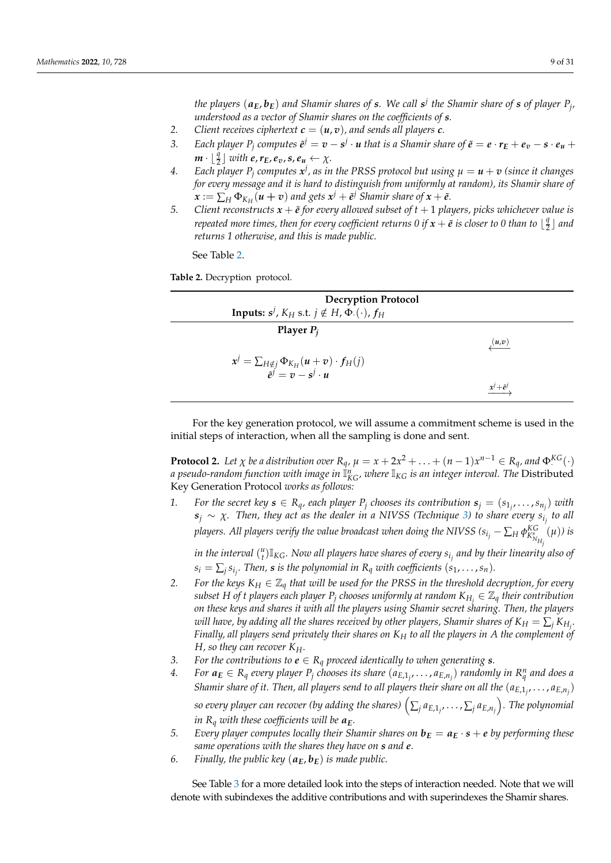*the players* (*aE*, *bE*) *and Shamir shares of s. We call s j the Shamir share of s of player P<sup>j</sup> , understood as a vector of Shamir shares on the coefficients of s.*

- 2. Client receives ciphertext  $c = (u, v)$ , and sends all players  $c$ .
- 3. Each player  $P_j$  computes  $\tilde{e}^j=v-s^j\cdot u$  that is a Shamir share of  $\tilde{e}=e\cdot r_E+e_v-s\cdot e_u+e_v$  $m \cdot \lfloor \frac{q}{2} \rfloor$  with  $e, r_E, e_v, s, e_u \leftarrow \chi$ .
- 4. Each player  $P_j$  computes  $x^j$ , as in the PRSS protocol but using  $\mu = u + v$  (since it changes *for every message and it is hard to distinguish from uniformly at random), its Shamir share of*  $x := \sum_{H} \Phi_{K_H}(u + v)$  and gets  $x^j + e^j$  Shamir share of  $x + e^j$ .
- *5.* Client reconstructs  $x + \tilde{e}$  for every allowed subset of  $t + 1$  players, picks whichever value is *repeated more times, then for every coefficient returns 0 if*  $x + \tilde{e}$  *is closer to 0 than to*  $\lfloor \frac{q}{2} \rfloor$  $\frac{q}{2}$ ] and *returns 1 otherwise, and this is made public.*

See Table [2.](#page-8-0)

<span id="page-8-0"></span>**Table 2.** Decryption protocol.

| <b>Decryption Protocol</b><br><b>Inputs:</b> $s^j$ , $K_H$ s.t. $j \notin H$ , $\Phi$ . (·), $f_H$ |                   |
|----------------------------------------------------------------------------------------------------|-------------------|
| Player $P_i$                                                                                       | (u,v)             |
| $x^j = \sum_{H \notin j} \Phi_{K_H}(u+v) \cdot f_H(j)$<br>$\tilde{e}^j = v - s^j \cdot u$          | $x^j+\tilde{e}^j$ |

For the key generation protocol, we will assume a commitment scheme is used in the initial steps of interaction, when all the sampling is done and sent.

<span id="page-8-1"></span>**Protocol 2.** Let  $\chi$  be a distribution over  $R_q$ ,  $\mu = x + 2x^2 + \ldots + (n-1)x^{n-1} \in R_q$ , and  $\Phi^{KG}(\cdot)$ *a pseudo-random function with image in*  $\mathbb{I}_{KG}^n$ *, where*  $\mathbb{I}_{KG}$  *is an integer interval. The <code>Distributed</code>* Key Generation Protocol *works as follows:*

1. For the secret key  $s \in R_q$ , each player  $P_j$  chooses its contribution  $s_j = (s_{1j}, \ldots, s_{n_j})$  with  $s_j \sim \chi$ . Then, they act as the dealer in a NIVSS (Technique [3\)](#page-4-1) to share every  $s_{i_j}$  to all *players. All players verify the value broadcast when doing the NIVSS (* $s_{i_j} - \sum_H \phi_{K_{N_{H_j}}^N}^{KG}$ (*µ*)*) is*

in the interval  $\binom{u}{t} \mathbb{I}_{KG}$ . Now all players have shares of every  $s_{i_j}$  and by their linearity also of  $s_i = \sum_j s_{i_j}$ . Then,  $s$  is the polynomial in  $R_q$  *with coefficients*  $(s_1, \ldots, s_n)$ *.* 

- *2. For the keys*  $K_H \in \mathbb{Z}_q$  *that will be used for the PRSS in the threshold decryption, for every subset H of t players each player*  $P_j$  *chooses uniformly at random*  $K_{H_j} \in \mathbb{Z}_q$  *<i>their contribution on these keys and shares it with all the players using Shamir secret sharing. Then, the players*  $\alpha$  will have, by adding all the shares received by other players, Shamir shares of  $K_H = \sum_j K_{H_j}.$ *Finally, all players send privately their shares on K<sup>H</sup> to all the players in A the complement of H, so they can recover KH.*
- *3.* For the contributions to  $e \in R_q$  proceed identically to when generating **s**.
- 4. For  $a_E \in R_q$  every player  $P_j$  chooses its share  $(a_{E,1_j},...,a_{E,n_j})$  randomly in  $R_q^n$  and does a *Shamir share of it. Then, all players send to all players their share on all the*  $(a_{E,1_j},\ldots,a_{E,n_j})$ so every player can recover (by adding the shares)  $\left(\sum_{j}a_{E,1_j},\ldots,\sum_{j}a_{E,n_j}\right)$ . The polynomial *in*  $R_q$  *with these coefficients will be*  $a_E$ *.*
- *5.* Every player computes locally their Shamir shares on  $\mathbf{b}_E = \mathbf{a}_E \cdot \mathbf{s} + \mathbf{e}$  by performing these *same operations with the shares they have on s and e.*
- 6. *Finally, the public key*  $(a_E, b_E)$  *is made public.*

See Table [3](#page-9-0) for a more detailed look into the steps of interaction needed. Note that we will denote with subindexes the additive contributions and with superindexes the Shamir shares.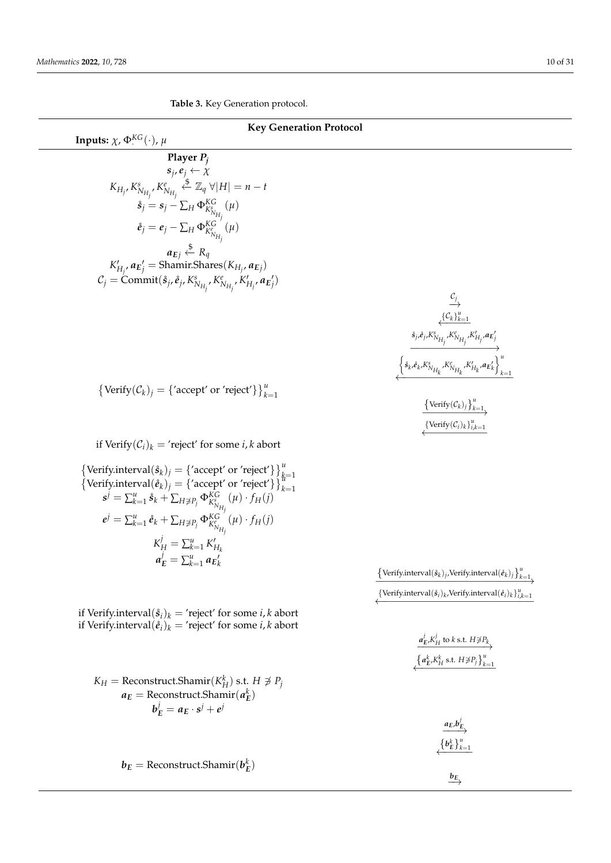L,

 $\overline{\phantom{0}}$ 

<span id="page-9-0"></span>**Table 3.** Key Generation protocol.

| <b>Key Generation Protocol</b>                                                                                                                                                                                                                                                                                 |                                                                                                                                                                                                                      |  |
|----------------------------------------------------------------------------------------------------------------------------------------------------------------------------------------------------------------------------------------------------------------------------------------------------------------|----------------------------------------------------------------------------------------------------------------------------------------------------------------------------------------------------------------------|--|
| Inputs: $\chi$ , $\Phi$ <sup>KG</sup> (·), $\mu$                                                                                                                                                                                                                                                               |                                                                                                                                                                                                                      |  |
| Player $P_i$                                                                                                                                                                                                                                                                                                   |                                                                                                                                                                                                                      |  |
| $s_j, e_j \leftarrow \chi$                                                                                                                                                                                                                                                                                     |                                                                                                                                                                                                                      |  |
| $K_{H_j}, K^s_{N_{H_j}}, K^e_{N_{H_j}} \stackrel{\text{``$}}{\leftarrow} \mathbb{Z}_q \ \forall  H  = n-t$                                                                                                                                                                                                     |                                                                                                                                                                                                                      |  |
| $\mathring{\boldsymbol{s}}_j=\boldsymbol{s}_j-\sum_{H}\Phi_{K_{N_{H_j}}^s}^{KG}(\mu)$                                                                                                                                                                                                                          |                                                                                                                                                                                                                      |  |
|                                                                                                                                                                                                                                                                                                                |                                                                                                                                                                                                                      |  |
| $\dot{e}_j = e_j - \sum_{H} \Phi_{K_{N_{H_i}}^e}^{KG}(\mu)$                                                                                                                                                                                                                                                    |                                                                                                                                                                                                                      |  |
| $\alpha_{E_j} \xleftarrow{\text{d}} R_q$<br>$K'_{H_i}, \alpha_{E'_j} = \text{Shamir.}$ Shares $(K_{H_i}, \alpha_{E_j})$                                                                                                                                                                                        |                                                                                                                                                                                                                      |  |
|                                                                                                                                                                                                                                                                                                                |                                                                                                                                                                                                                      |  |
| $C_j = \text{Commit}(\hat{s}_j, \hat{e}_j, K^s_{N_{H_j}}, K^e_{N_{H_j}}, K'_{H_j}, \mathbf{a}_{E'_j})$                                                                                                                                                                                                         |                                                                                                                                                                                                                      |  |
|                                                                                                                                                                                                                                                                                                                | $\overset{C_j}{\longrightarrow}$                                                                                                                                                                                     |  |
|                                                                                                                                                                                                                                                                                                                | $\{{\mathcal{C}_k}\}_{k=1}^u$                                                                                                                                                                                        |  |
|                                                                                                                                                                                                                                                                                                                |                                                                                                                                                                                                                      |  |
|                                                                                                                                                                                                                                                                                                                |                                                                                                                                                                                                                      |  |
|                                                                                                                                                                                                                                                                                                                | $\xleftarrow{\hat{s}_j,\hat{e}_j,K^s_{N_{H_j}},K^e_{N_{H_j}},K^{\prime}_{H_j},\alpha_E'}\xrightarrow{\left\{\hat{s}_k,\hat{e}_k,K^s_{N_{H_k}},K^e_{N_{H_k}},K^{\prime}_{H_k},\alpha_E{}^{\prime}_k\right\}_{k=1}^u}$ |  |
|                                                                                                                                                                                                                                                                                                                |                                                                                                                                                                                                                      |  |
| {Verify $(\mathcal{C}_k)_j = \{$ 'accept' or 'reject'} $\}_{k=1}^u$                                                                                                                                                                                                                                            |                                                                                                                                                                                                                      |  |
|                                                                                                                                                                                                                                                                                                                | $\left\{\text{Verify}(\mathcal{C}_k)_j\right\}_{k=1}^u$                                                                                                                                                              |  |
|                                                                                                                                                                                                                                                                                                                | $\{\text{Verify}(\mathcal{C}_i)_k\}_{i,k=1}^u$                                                                                                                                                                       |  |
| if Verify $(\mathcal{C}_i)_k$ = 'reject' for some <i>i</i> , <i>k</i> abort                                                                                                                                                                                                                                    |                                                                                                                                                                                                                      |  |
|                                                                                                                                                                                                                                                                                                                |                                                                                                                                                                                                                      |  |
|                                                                                                                                                                                                                                                                                                                |                                                                                                                                                                                                                      |  |
| {Verify.interval( $\hat{\mathbf{s}}_k$ ) <sub>j</sub> = {'accept' or 'reject'} } $_{k=1}^u$<br>{Verify.interval( $\hat{\mathbf{e}}_k$ ) <sub>j</sub> = {'accept' or 'reject'} } $_{k=1}^u$<br>$\mathbf{s}^j = \sum_{k=1}^u \hat{\mathbf{s}}_k + \sum_{H \neq P_j} \Phi_{K_{N_{H_j}}^s}^{KG}(\mu) \cdot f_H(j)$ |                                                                                                                                                                                                                      |  |
|                                                                                                                                                                                                                                                                                                                |                                                                                                                                                                                                                      |  |
| $e^{j} = \sum_{k=1}^{u} \mathring{e}_{k} + \sum_{H \neq P_j} \Phi_{K_{N_{H_i}}^{e}}^{KG^{'}(\mu)} \cdot f_{H}(j)$                                                                                                                                                                                              |                                                                                                                                                                                                                      |  |
| $K_H^j = \sum_{k=1}^u K_{H_k}^j$                                                                                                                                                                                                                                                                               |                                                                                                                                                                                                                      |  |
| $a_F^j = \sum_{k=1}^u a_{E_k}^j$                                                                                                                                                                                                                                                                               |                                                                                                                                                                                                                      |  |
|                                                                                                                                                                                                                                                                                                                | $\left\{\text{Verify.interval}(\hat{s}_k)_j, \text{Verify.interval}(\hat{e}_k)_j\right\}_{k=1}^u$                                                                                                                    |  |
|                                                                                                                                                                                                                                                                                                                | {Verify.interval( $\hat{s}_i$ ) <sub>k</sub> , Verify.interval( $\hat{e}_i$ ) <sub>k</sub> ) $_{i,k=1}^u$                                                                                                            |  |
| if Verify.interval $(\hat{s}_i)_k$ = 'reject' for some <i>i</i> , <i>k</i> abort                                                                                                                                                                                                                               |                                                                                                                                                                                                                      |  |
| if Verify.interval $(\hat{e}_i)_k$ = 'reject' for some <i>i</i> , <i>k</i> abort                                                                                                                                                                                                                               |                                                                                                                                                                                                                      |  |
|                                                                                                                                                                                                                                                                                                                | $\underbrace{a_E^j, K_H^j}$ to k s.t. $H \not\ni P_k$                                                                                                                                                                |  |
|                                                                                                                                                                                                                                                                                                                | $\left\{a_E^k, K_H^k \text{ s.t. } H \neq P_j \right\}_{k=1}^u$                                                                                                                                                      |  |
| $K_H$ = Reconstruct. Shamir( $K_H^k$ ) s.t. $H \not\supseteq P_i$                                                                                                                                                                                                                                              |                                                                                                                                                                                                                      |  |
| $a_E$ = Reconstruct. Shamir $(a_E^k)$                                                                                                                                                                                                                                                                          |                                                                                                                                                                                                                      |  |
| $b_F^j = a_E \cdot s^j + e^j$                                                                                                                                                                                                                                                                                  |                                                                                                                                                                                                                      |  |
|                                                                                                                                                                                                                                                                                                                |                                                                                                                                                                                                                      |  |
|                                                                                                                                                                                                                                                                                                                | $\left\{b_{E}^{k}\right\}_{k=1}^{u}$                                                                                                                                                                                 |  |
|                                                                                                                                                                                                                                                                                                                |                                                                                                                                                                                                                      |  |
| $b_E =$ Reconstruct.Shamir $(b_E^k)$                                                                                                                                                                                                                                                                           | $\stackrel{b_E}{\longrightarrow}$                                                                                                                                                                                    |  |
|                                                                                                                                                                                                                                                                                                                |                                                                                                                                                                                                                      |  |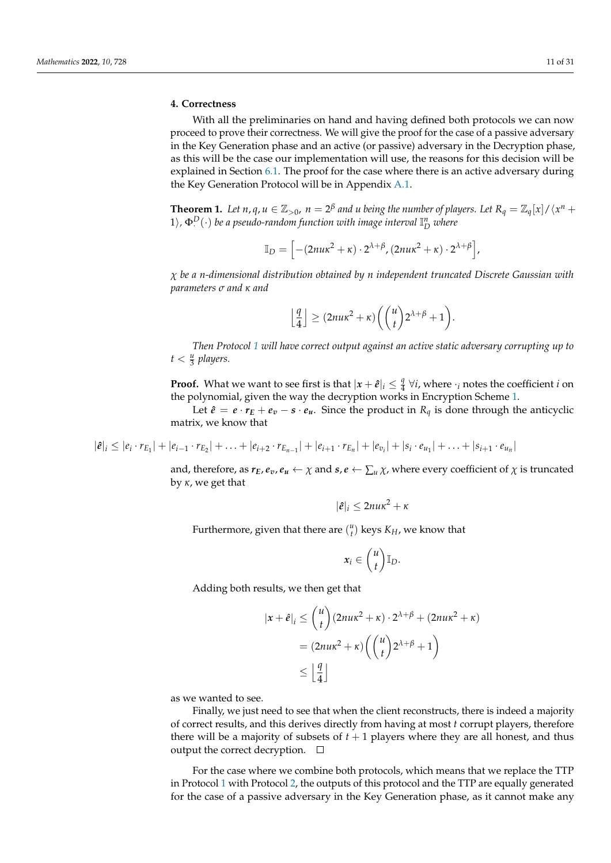## <span id="page-10-0"></span>**4. Correctness**

With all the preliminaries on hand and having defined both protocols we can now proceed to prove their correctness. We will give the proof for the case of a passive adversary in the Key Generation phase and an active (or passive) adversary in the Decryption phase, as this will be the case our implementation will use, the reasons for this decision will be explained in Section [6.1.](#page-16-1) The proof for the case where there is an active adversary during the Key Generation Protocol will be in Appendix [A.1.](#page-22-1)

<span id="page-10-1"></span>**Theorem 1.** Let  $n, q, u \in \mathbb{Z}_{>0}$ ,  $n = 2^{\beta}$  and *u* being the number of players. Let  $R_q = \mathbb{Z}_q[x]/\langle x^n + q \rangle$  $(1)$ ,  $\Phi^D(\cdot)$  *be a pseudo-random function with image interval*  $\mathbb{I}^n_D$  *where* 

$$
\mathbb{I}_D = \left[ -(2nu\kappa^2 + \kappa) \cdot 2^{\lambda + \beta}, (2nu\kappa^2 + \kappa) \cdot 2^{\lambda + \beta} \right],
$$

*χ be a n-dimensional distribution obtained by n independent truncated Discrete Gaussian with parameters σ and κ and*

$$
\left\lfloor \frac{q}{4} \right\rfloor \geq (2nu\kappa^2 + \kappa) \bigg( \binom{u}{t} 2^{\lambda + \beta} + 1 \bigg).
$$

*Then Protocol [1](#page-7-2) will have correct output against an active static adversary corrupting up to*  $t < \frac{u}{3}$  players.

**Proof.** What we want to see first is that  $|x + \hat{e}|_i \leq \frac{q}{4}$  $\frac{q}{4}$   $\forall i$ , where  $\cdot_i$  notes the coefficient *i* on the polynomial, given the way the decryption works in Encryption Scheme [1.](#page-7-1)

Let  $\hat{e} = e \cdot r_E + e_v - s \cdot e_u$ . Since the product in  $R_q$  is done through the anticyclic matrix, we know that

 $|\hat{e}|_i \leq |e_i \cdot r_{E_1}| + |e_{i-1} \cdot r_{E_2}| + \ldots + |e_{i+2} \cdot r_{E_{n-1}}| + |e_{i+1} \cdot r_{E_n}| + |e_{v_i}| + |s_i \cdot e_{u_1}| + \ldots + |s_{i+1} \cdot e_{u_n}|$ 

and, therefore, as  $r_E$ ,  $e_v$ ,  $e_u \leftarrow \chi$  and  $s$ ,  $e \leftarrow \sum_u \chi$ , where every coefficient of  $\chi$  is truncated by *κ*, we get that

$$
|\hat{e}|_i \leq 2nu\kappa^2 + \kappa
$$

Furthermore, given that there are  $\binom{u}{t}$  keys  $K_H$ , we know that

$$
x_i\in {u \choose t} \mathbb{I}_D.
$$

Adding both results, we then get that

$$
|x + \hat{e}|_i \le {u \choose t} (2nu\kappa^2 + \kappa) \cdot 2^{\lambda + \beta} + (2nu\kappa^2 + \kappa)
$$
  
=  $(2nu\kappa^2 + \kappa) \left({u \choose t} 2^{\lambda + \beta} + 1\right)$   
 $\le \left\lfloor \frac{q}{4} \right\rfloor$ 

as we wanted to see.

Finally, we just need to see that when the client reconstructs, there is indeed a majority of correct results, and this derives directly from having at most *t* corrupt players, therefore there will be a majority of subsets of  $t + 1$  players where they are all honest, and thus output the correct decryption.  $\square$ 

For the case where we combine both protocols, which means that we replace the TTP in Protocol [1](#page-7-2) with Protocol [2,](#page-8-1) the outputs of this protocol and the TTP are equally generated for the case of a passive adversary in the Key Generation phase, as it cannot make any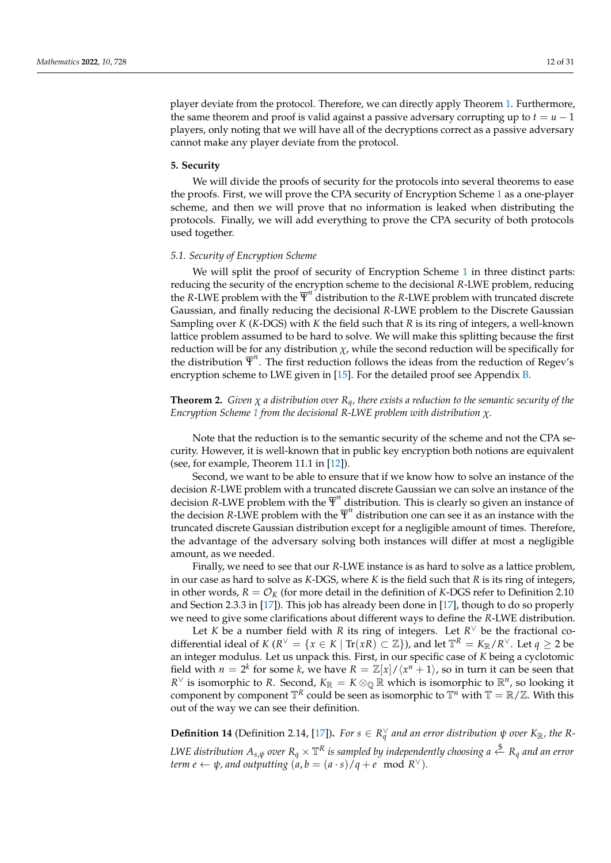player deviate from the protocol. Therefore, we can directly apply Theorem [1.](#page-10-1) Furthermore, the same theorem and proof is valid against a passive adversary corrupting up to  $t = u - 1$ players, only noting that we will have all of the decryptions correct as a passive adversary cannot make any player deviate from the protocol.

#### <span id="page-11-0"></span>**5. Security**

We will divide the proofs of security for the protocols into several theorems to ease the proofs. First, we will prove the CPA security of Encryption Scheme [1](#page-7-1) as a one-player scheme, and then we will prove that no information is leaked when distributing the protocols. Finally, we will add everything to prove the CPA security of both protocols used together.

## <span id="page-11-2"></span>*5.1. Security of Encryption Scheme*

We will split the proof of security of Encryption Scheme [1](#page-7-1) in three distinct parts: reducing the security of the encryption scheme to the decisional *R*-LWE problem, reducing the *R*-LWE problem with the  $\overline{\Psi}^n$  distribution to the *R*-LWE problem with truncated discrete Gaussian, and finally reducing the decisional *R*-LWE problem to the Discrete Gaussian Sampling over *K* (*K*-DGS) with *K* the field such that *R* is its ring of integers, a well-known lattice problem assumed to be hard to solve. We will make this splitting because the first reduction will be for any distribution  $\chi$ , while the second reduction will be specifically for the distribution  $\overline{\Psi}^n$ . The first reduction follows the ideas from the reduction of Regev's encryption scheme to LWE given in [\[15\]](#page-29-15). For the detailed proof see Appendix [B.](#page-25-0)

<span id="page-11-3"></span>**Theorem 2.** *Given*  $\chi$  *a* distribution over  $R_q$ *, there exists a reduction to the semantic security of the Encryption Scheme [1](#page-7-1) from the decisional R-LWE problem with distribution χ.*

Note that the reduction is to the semantic security of the scheme and not the CPA security. However, it is well-known that in public key encryption both notions are equivalent (see, for example, Theorem 11.1 in [\[12\]](#page-29-12)).

Second, we want to be able to ensure that if we know how to solve an instance of the decision *R*-LWE problem with a truncated discrete Gaussian we can solve an instance of the decision *R*-LWE problem with the  $\overline{\Psi}^n$  distribution. This is clearly so given an instance of the decision *R*-LWE problem with the  $\overline{\Psi}^n$  distribution one can see it as an instance with the truncated discrete Gaussian distribution except for a negligible amount of times. Therefore, the advantage of the adversary solving both instances will differ at most a negligible amount, as we needed.

Finally, we need to see that our *R*-LWE instance is as hard to solve as a lattice problem, in our case as hard to solve as *K*-DGS, where *K* is the field such that *R* is its ring of integers, in other words,  $R = \mathcal{O}_K$  (for more detail in the definition of *K*-DGS refer to Definition 2.10 and Section 2.3.3 in [\[17\]](#page-29-17)). This job has already been done in [\[17\]](#page-29-17), though to do so properly we need to give some clarifications about different ways to define the *R*-LWE distribution.

Let *K* be a number field with *R* its ring of integers. Let  $R^{\vee}$  be the fractional codifferential ideal of  $K(R^{\vee} = \{x \in K \mid \text{Tr}(xR) \subset \mathbb{Z}\})$ , and let  $\mathbb{T}^R = K_{\mathbb{R}}/R^{\vee}$ . Let  $q \ge 2$  be an integer modulus. Let us unpack this. First, in our specific case of *K* being a cyclotomic field with  $n = 2^k$  for some *k*, we have  $R = \mathbb{Z}[x]/\langle x^n + 1 \rangle$ , so in turn it can be seen that *R*<sup>∨</sup> is isomorphic to *R*. Second,  $K_{\mathbb{R}} = K \otimes_{\mathbb{Q}} \mathbb{R}$  which is isomorphic to  $\mathbb{R}^n$ , so looking it component by component  $\mathbb{T}^R$  could be seen as isomorphic to  $\mathbb{T}^n$  with  $\mathbb{T} = \mathbb{R}/\mathbb{Z}$ . With this out of the way we can see their definition.

<span id="page-11-1"></span>**Definition 14** (Definition 2.14, [\[17\]](#page-29-17)). *For*  $s \in R_q^{\vee}$  *and an error distribution*  $\psi$  *over*  $K_{\mathbb{R}}$ *, the*  $R$ -LWE distribution  $A_{s,\psi}$  over  $R_q \times \mathbb{T}^R$  is sampled by independently choosing a  $\stackrel{\$}{\leftarrow} R_q$  and an error *term e*  $\leftarrow$  *ψ,* and outputting  $(a, b = (a \cdot s)/q + e \mod R^{\vee}).$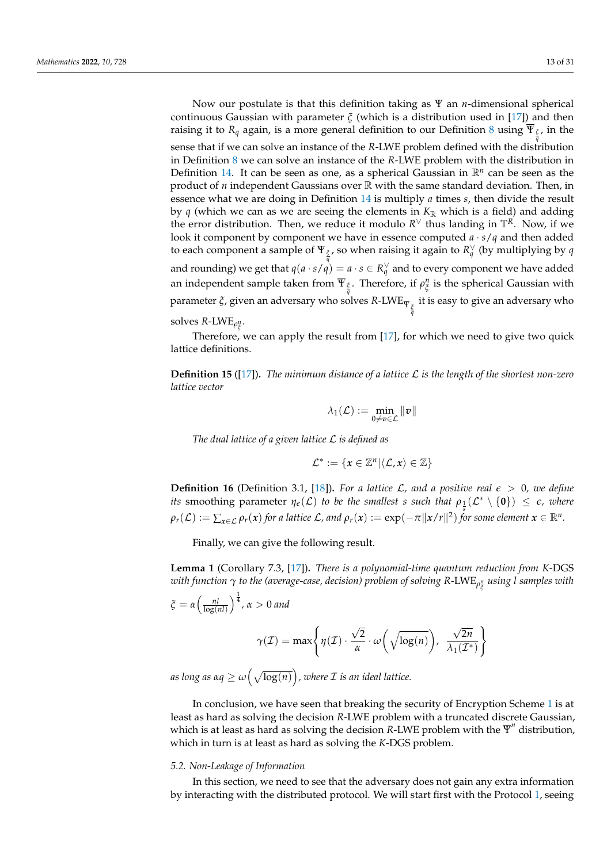Now our postulate is that this definition taking as Ψ an *n*-dimensional spherical continuous Gaussian with parameter *ξ* (which is a distribution used in [\[17\]](#page-29-17)) and then raising it to *R<sup>q</sup>* again, is a more general definition to our Definition [8](#page-6-0) using Ψ*<sup>ξ</sup>* , in the *q* sense that if we can solve an instance of the *R*-LWE problem defined with the distribution in Definition [8](#page-6-0) we can solve an instance of the *R*-LWE problem with the distribution in Definition [14.](#page-11-1) It can be seen as one, as a spherical Gaussian in R*<sup>n</sup>* can be seen as the product of *n* independent Gaussians over R with the same standard deviation. Then, in essence what we are doing in Definition [14](#page-11-1) is multiply *a* times *s*, then divide the result by  $q$  (which we can as we are seeing the elements in  $K_{\mathbb{R}}$  which is a field) and adding the error distribution. Then, we reduce it modulo  $R^{\vee}$  thus landing in  $\mathbb{T}^{R}$ . Now, if we look it component by component we have in essence computed *a* · *s*/*q* and then added to each component a sample of  $\Psi_{\frac{\zeta}{q}}$ , so when raising it again to  $R^{\vee}_{q}$  (by multiplying by  $q$ and rounding) we get that  $q(a \cdot s/q) = a \cdot s \in R_q^{\vee}$  and to every component we have added an independent sample taken from  $\overline{\Psi}_{\frac{\zeta}{q}}.$  Therefore, if  $\rho_{\zeta}^n$  is the spherical Gaussian with parameter *<sup>ξ</sup>*, given an adversary who solves *<sup>R</sup>*-LWE<sup>Ψ</sup> *<sup>ξ</sup> q* it is easy to give an adversary who solves  $R$ -LWE $_{\rho_{\tilde{\xi}}^n}$ .

Therefore, we can apply the result from [\[17\]](#page-29-17), for which we need to give two quick lattice definitions.

**Definition 15** ([\[17\]](#page-29-17))**.** *The minimum distance of a lattice* L *is the length of the shortest non-zero lattice vector*

$$
\lambda_1(\mathcal{L}):=\min_{0\neq v\in\mathcal{L}}\|v\|
$$

*The dual lattice of a given lattice* L *is defined as*

$$
\mathcal{L}^* := \{x \in \mathbb{Z}^n | \langle \mathcal{L}, x \rangle \in \mathbb{Z}\}
$$

**Definition 16** (Definition 3.1, [\[18\]](#page-30-0)). For a lattice  $\mathcal{L}$ , and a positive real  $\epsilon > 0$ , we define *its* smoothing parameter  $\eta_{\epsilon}(\mathcal{L})$  *to be the smallest s such that*  $\rho_{\frac{1}{s}}(\mathcal{L}^*\setminus{\{\mathbf{0}\}}) \leq \epsilon$ , where  $\rho_r(\mathcal{L}) := \sum_{x \in \mathcal{L}} \rho_r(x)$  for a lattice  $\mathcal{L}$ , and  $\rho_r(x) := \exp(-\pi \| x/r \|^2)$  for some element  $x \in \mathbb{R}^n$ .

Finally, we can give the following result.

<span id="page-12-0"></span>**Lemma 1** (Corollary 7.3, [\[17\]](#page-29-17))**.** *There is a polynomial-time quantum reduction from K-*DGS *with function γ to the (average-case, decision) problem of solving R-*LWE*<sup>ρ</sup> n ξ using l samples with*

$$
\xi = \alpha \left( \frac{n!}{\log(n!)} \right)^{\frac{1}{4}}, \alpha > 0 \text{ and}
$$

$$
\gamma(\mathcal{I}) = \max \left\{ \eta(\mathcal{I}) \cdot \frac{\sqrt{2}}{\alpha} \cdot \omega \left( \sqrt{\log(n)} \right), \frac{\sqrt{2n}}{\lambda_1(\mathcal{I}^*)} \right\}
$$

 $a$ s long as  $\alpha q \ge \omega\big(\sqrt{\log(n)}\big)$ , where  ${\cal I}$  is an ideal lattice.

In conclusion, we have seen that breaking the security of Encryption Scheme [1](#page-7-1) is at least as hard as solving the decision *R*-LWE problem with a truncated discrete Gaussian, which is at least as hard as solving the decision *R*-LWE problem with the  $\overline{\Psi}^n$  distribution, which in turn is at least as hard as solving the *K*-DGS problem.

# *5.2. Non-Leakage of Information*

In this section, we need to see that the adversary does not gain any extra information by interacting with the distributed protocol. We will start first with the Protocol [1,](#page-7-2) seeing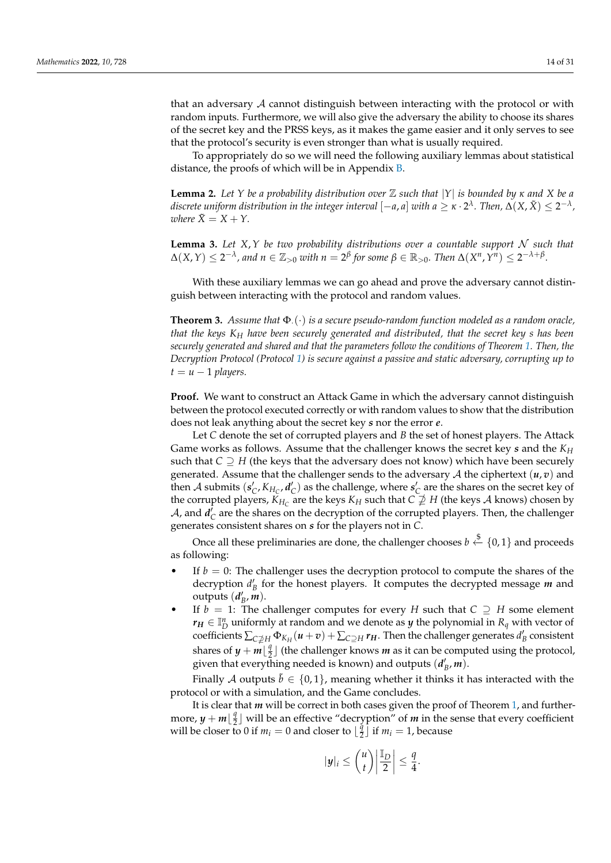that an adversary A cannot distinguish between interacting with the protocol or with random inputs. Furthermore, we will also give the adversary the ability to choose its shares of the secret key and the PRSS keys, as it makes the game easier and it only serves to see that the protocol's security is even stronger than what is usually required.

To appropriately do so we will need the following auxiliary lemmas about statistical distance, the proofs of which will be in Appendix [B.](#page-25-0)

<span id="page-13-0"></span>**Lemma 2.** *Let Y be a probability distribution over* Z *such that* |*Y*| *is bounded by κ and X be a* discrete uniform distribution in the integer interval  $[-a,a]$  with  $a\geq \kappa\cdot 2^\lambda$  . Then,  $\Delta(X,\tilde{X})\leq 2^{-\lambda}$  , *where*  $\tilde{X} = X + Y$ .

<span id="page-13-1"></span>**Lemma 3.** Let  $X, Y$  be two probability distributions over a countable support  $N$  such that  $\Delta(X,Y) \leq 2^{-\lambda}$ , and  $n \in \mathbb{Z}_{>0}$  with  $n = 2^{\beta}$  for some  $\beta \in \mathbb{R}_{>0}$ . Then  $\Delta(X^n,Y^n) \leq 2^{-\lambda+\beta}$ .

With these auxiliary lemmas we can go ahead and prove the adversary cannot distinguish between interacting with the protocol and random values.

<span id="page-13-2"></span>**Theorem 3.** *Assume that* Φ·(·) *is a secure pseudo-random function modeled as a random oracle, that the keys K<sup>H</sup> have been securely generated and distributed, that the secret key s has been securely generated and shared and that the parameters follow the conditions of Theorem [1.](#page-10-1) Then, the Decryption Protocol (Protocol [1\)](#page-7-2) is secure against a passive and static adversary, corrupting up to*  $t = u - 1$  *players.* 

**Proof.** We want to construct an Attack Game in which the adversary cannot distinguish between the protocol executed correctly or with random values to show that the distribution does not leak anything about the secret key *s* nor the error *e*.

Let *C* denote the set of corrupted players and *B* the set of honest players. The Attack Game works as follows. Assume that the challenger knows the secret key *s* and the *K<sup>H</sup>* such that  $C \supseteq H$  (the keys that the adversary does not know) which have been securely generated. Assume that the challenger sends to the adversary  $A$  the ciphertext  $(u, v)$  and then A submits  $(s_C', K_{H_C}, d_C')$  as the challenge, where  $s_C'$  are the shares on the secret key of the corrupted players,  $K_{H_C}$  are the keys  $K_H$  such that  $C \not\supseteq H$  (the keys  $A$  knows) chosen by  $A$ , and  $d_{\rm C}$  are the shares on the decryption of the corrupted players. Then, the challenger generates consistent shares on *s* for the players not in *C*.

Once all these preliminaries are done, the challenger chooses  $b \stackrel{\$}{\leftarrow} \{0,1\}$  and proceeds as following:

- If  $b = 0$ : The challenger uses the decryption protocol to compute the shares of the decryption  $d'_B$  for the honest players. It computes the decrypted message  $m$  and outputs  $(d'_B, m)$ .
- If  $b = 1$ : The challenger computes for every *H* such that  $C \supseteq H$  some element  $r_H \in \mathbb{I}_D^n$  uniformly at random and we denote as *y* the polynomial in  $R_q$  with vector of coefficients  $\sum_{C \neq H} \Phi_{K_H}(u+v) + \sum_{C \supseteq H} r_H$ . Then the challenger generates  $d'_B$  consistent shares of  $y + m\left\lfloor \frac{q}{2} \right\rfloor$  $\frac{q}{2}$  | (the challenger knows *m* as it can be computed using the protocol, given that everything needed is known) and outputs  $(d'_B, m)$ .

Finally A outputs  $\tilde{b} \in \{0,1\}$ , meaning whether it thinks it has interacted with the protocol or with a simulation, and the Game concludes.

It is clear that *m* will be correct in both cases given the proof of Theorem [1,](#page-10-1) and furthermore,  $y + m\left\lfloor \frac{q}{2} \right\rfloor$  $\frac{q}{2}$ ] will be an effective "decryption" of *m* in the sense that every coefficient will be closer to 0 if  $m_i = 0$  and closer to  $\frac{3}{2}$  $\frac{q}{2}$  if  $m_i = 1$ , because

$$
|\mathbf{y}|_i \leq {\binom{u}{t}} \left| \frac{\mathbb{I}_D}{2} \right| \leq \frac{q}{4}.
$$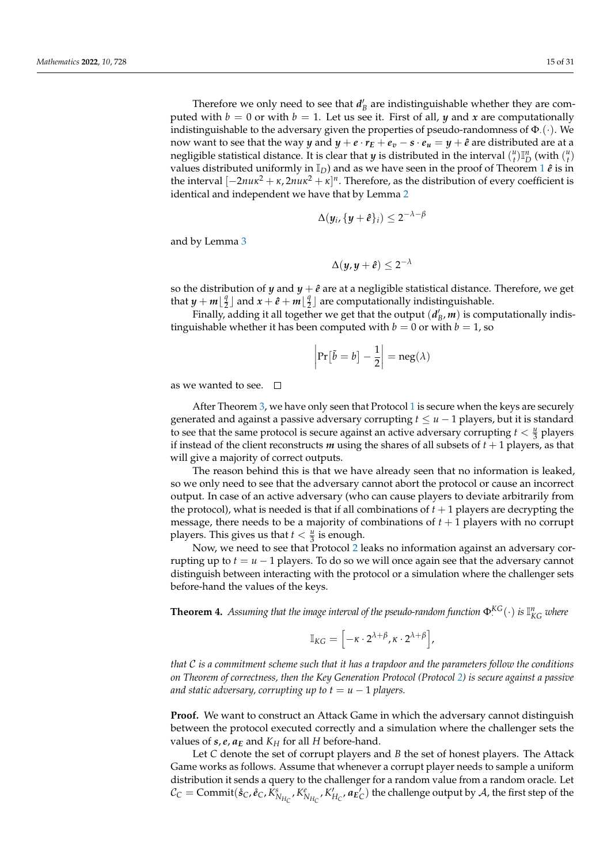Therefore we only need to see that  $d'_B$  are indistinguishable whether they are computed with  $b = 0$  or with  $b = 1$ . Let us see it. First of all, *y* and *x* are computationally indistinguishable to the adversary given the properties of pseudo-randomness of  $\Phi_{\cdot}(\cdot)$ . We now want to see that the way *y* and  $y + e \cdot r_E + e_v - s \cdot e_u = y + \hat{e}$  are distributed are at a negligible statistical distance. It is clear that *y* is distributed in the interval  $\binom{u}{t}\mathbb{I}_D^n$  (with  $\binom{u}{t}$ values distributed uniformly in  $\mathbb{I}_D$ ) and as we have seen in the proof of Theorem [1](#page-10-1)  $\hat{e}$  is in the interval  $[-2nu\kappa^2 + \kappa, 2nu\kappa^2 + \kappa]^n$ . Therefore, as the distribution of every coefficient is identical and independent we have that by Lemma [2](#page-13-0)

$$
\Delta(y_i,\{y+\widehat{e}\}_i) \leq 2^{-\lambda-\beta}
$$

and by Lemma [3](#page-13-1)

$$
\Delta(y, y+\hat{e}) \leq 2^{-\lambda}
$$

so the distribution of *y* and  $y + \hat{e}$  are at a negligible statistical distance. Therefore, we get that  $y + m\left\lfloor \frac{q}{2} \right\rfloor$  $\frac{q}{2}$  and  $x + \hat{e} + m\left[\frac{q}{2}\right]$  $\frac{q}{2}$  are computationally indistinguishable.

Finally, adding it all together we get that the output  $(d'_B, m)$  is computationally indistinguishable whether it has been computed with  $b = 0$  or with  $b = 1$ , so

$$
\left|\Pr[\tilde{b}=b]-\frac{1}{2}\right|=\operatorname{neg}(\lambda)
$$

as we wanted to see.  $\square$ 

After Theorem [3,](#page-13-2) we have only seen that Protocol [1](#page-7-2) is secure when the keys are securely generated and against a passive adversary corrupting  $t \le u - 1$  players, but it is standard to see that the same protocol is secure against an active adversary corrupting  $t < \frac{u}{3}$  players if instead of the client reconstructs *m* using the shares of all subsets of *t* + 1 players, as that will give a majority of correct outputs.

The reason behind this is that we have already seen that no information is leaked, so we only need to see that the adversary cannot abort the protocol or cause an incorrect output. In case of an active adversary (who can cause players to deviate arbitrarily from the protocol), what is needed is that if all combinations of  $t + 1$  players are decrypting the message, there needs to be a majority of combinations of  $t + 1$  players with no corrupt players. This gives us that  $t < \frac{u}{3}$  is enough.

Now, we need to see that Protocol [2](#page-8-1) leaks no information against an adversary corrupting up to  $t = u - 1$  players. To do so we will once again see that the adversary cannot distinguish between interacting with the protocol or a simulation where the challenger sets before-hand the values of the keys.

<span id="page-14-0"></span>**Theorem 4.** Assuming that the image interval of the pseudo-random function  $\Phi^{KG}_{\cdot}(\cdot)$  is  $\mathbb{I}^n_{KG}$  where

$$
\mathbb{I}_{KG} = \left[ -\kappa \cdot 2^{\lambda + \beta}, \kappa \cdot 2^{\lambda + \beta} \right],
$$

*that* C *is a commitment scheme such that it has a trapdoor and the parameters follow the conditions on Theorem of correctness, then the Key Generation Protocol (Protocol [2\)](#page-8-1) is secure against a passive and static adversary, corrupting up to*  $t = u - 1$  *players.* 

**Proof.** We want to construct an Attack Game in which the adversary cannot distinguish between the protocol executed correctly and a simulation where the challenger sets the values of  $s$ ,  $e$ ,  $a_E$  and  $K_H$  for all  $H$  before-hand.

Let *C* denote the set of corrupt players and *B* the set of honest players. The Attack Game works as follows. Assume that whenever a corrupt player needs to sample a uniform distribution it sends a query to the challenger for a random value from a random oracle. Let  $\mathcal{C}_C = \text{Commit}(\hat{s}_C, \hat{e}_C, \tilde{K}_{N_{H_C}}^s, K_{N_{H_C}}^e, K_{H_C}', \boldsymbol{a}_{E_C})$  the challenge output by  $\mathcal{A}$ , the first step of the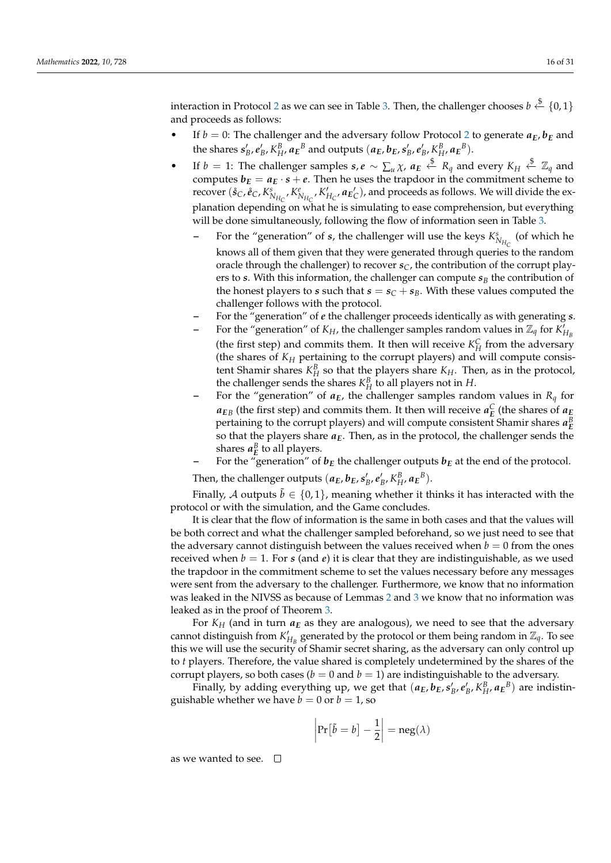interaction in Protocol [2](#page-8-1) as we can see in Table [3.](#page-9-0) Then, the challenger chooses  $b \stackrel{\$}{\leftarrow} \{0,1\}$ and proceeds as follows:

- If  $b = 0$ : The challenger and the adversary follow Protocol [2](#page-8-1) to generate  $a_E$ ,  $b_E$  and the shares  $s'_B, e'_B, K^B_H, a_E^B$  and outputs  $(a_E, b_E, s'_B, e'_B, K^B_H, a_E^B)$ .
- If  $b = 1$ : The challenger samples  $s, e \sim \sum_u \chi$ ,  $a_E \stackrel{\$}{\leftarrow} R_q$  and every  $K_H \stackrel{\$}{\leftarrow} \mathbb{Z}_q$  and computes  $b_E = a_E \cdot s + e$ . Then he uses the trapdoor in the commitment scheme to recover  $(\hat{s}_C, \hat{e}_C, K^s_{N_{H_C}}, K^e_{N_{H_C}}, K'_{H_C}, \mathbf{a}_{E_C})$ , and proceeds as follows. We will divide the explanation depending on what he is simulating to ease comprehension, but everything will be done simultaneously, following the flow of information seen in Table [3.](#page-9-0)
	- **–** For the "generation" of *s*, the challenger will use the keys  $K_{N_{H_C}}^s$  (of which he knows all of them given that they were generated through queries to the random oracle through the challenger) to recover  $s_C$ , the contribution of the corrupt players to *s*. With this information, the challenger can compute  $s_B$  the contribution of the honest players to *s* such that  $s = s_C + s_B$ . With these values computed the challenger follows with the protocol.
	- **–** For the "generation" of *e* the challenger proceeds identically as with generating *s*.
	- **–** For the "generation" of  $K_H$ , the challenger samples random values in  $\mathbb{Z}_q$  for  $\overline{K}'_{H_B}$ (the first step) and commits them. It then will receive  $K_H^C$  from the adversary (the shares of *K<sup>H</sup>* pertaining to the corrupt players) and will compute consistent Shamir shares  $K_H^B$  so that the players share  $K_H$ . Then, as in the protocol, the challenger sends the shares  $K_H^B$  to all players not in *H*.
	- For the "generation" of  $a_E$ , the challenger samples random values in  $R_q$  for  $a_{EB}$  (the first step) and commits them. It then will receive  $a_E^C$  (the shares of  $a_E$ pertaining to the corrupt players) and will compute consistent Shamir shares  $a_E^B$ so that the players share *aE*. Then, as in the protocol, the challenger sends the shares  $a_E^B$  to all players.
	- For the "generation" of  $b_E$  the challenger outputs  $b_E$  at the end of the protocol.

Then, the challenger outputs  $(a_E, b_E, s'_B, e'_B, K^B_H, a_E^B)$ .

Finally, A outputs  $\tilde{b} \in \{0, 1\}$ , meaning whether it thinks it has interacted with the protocol or with the simulation, and the Game concludes.

It is clear that the flow of information is the same in both cases and that the values will be both correct and what the challenger sampled beforehand, so we just need to see that the adversary cannot distinguish between the values received when  $b = 0$  from the ones received when  $b = 1$ . For *s* (and *e*) it is clear that they are indistinguishable, as we used the trapdoor in the commitment scheme to set the values necessary before any messages were sent from the adversary to the challenger. Furthermore, we know that no information was leaked in the NIVSS as because of Lemmas [2](#page-13-0) and [3](#page-13-1) we know that no information was leaked as in the proof of Theorem [3.](#page-13-2)

For  $K_H$  (and in turn  $a_E$  as they are analogous), we need to see that the adversary cannot distinguish from  $K'_{H_B}$  generated by the protocol or them being random in  $\mathbb{Z}_q$ . To see this we will use the security of Shamir secret sharing, as the adversary can only control up to *t* players. Therefore, the value shared is completely undetermined by the shares of the corrupt players, so both cases ( $b = 0$  and  $b = 1$ ) are indistinguishable to the adversary.

Finally, by adding everything up, we get that  $(a_E, b_E, s'_B, e'_B, K_H^B, a_E^B)$  are indistinguishable whether we have  $b = 0$  or  $b = 1$ , so

$$
\left|\Pr[\tilde{b}=b]-\frac{1}{2}\right|=\operatorname{neg}(\lambda)
$$

as we wanted to see.  $\square$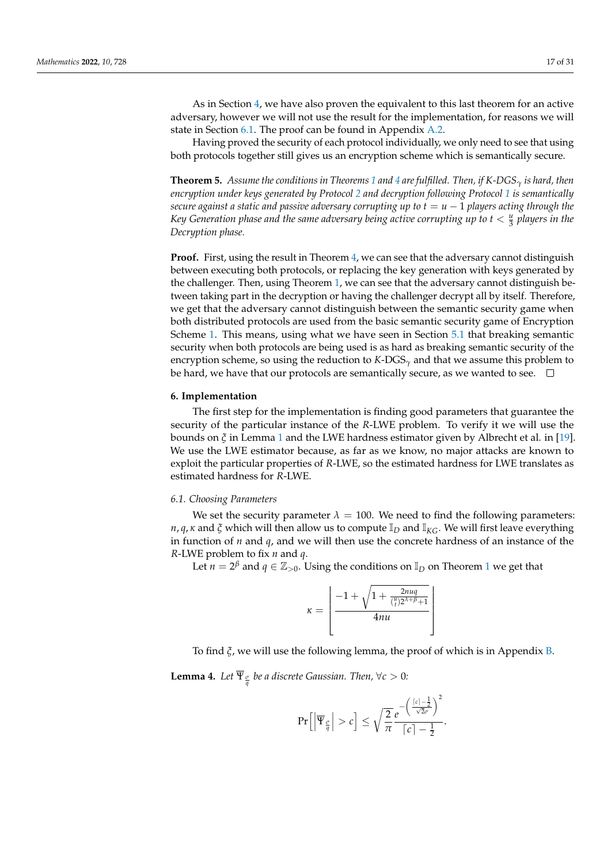As in Section [4,](#page-10-0) we have also proven the equivalent to this last theorem for an active adversary, however we will not use the result for the implementation, for reasons we will state in Section [6.1.](#page-16-1) The proof can be found in Appendix [A.2.](#page-23-0)

Having proved the security of each protocol individually, we only need to see that using both protocols together still gives us an encryption scheme which is semantically secure.

**Theorem 5.** *Assume the conditions in Theorems [1](#page-10-1) and [4](#page-14-0) are fulfilled. Then, if K-DGS<sup>γ</sup> is hard, then encryption under keys generated by Protocol [2](#page-8-1) and decryption following Protocol [1](#page-7-2) is semantically secure against a static and passive adversary corrupting up to*  $t = u - 1$  *players acting through the* Key Generation phase and the same adversary being active corrupting up to  $t < \frac{u}{3}$  players in the *Decryption phase.*

**Proof.** First, using the result in Theorem [4,](#page-14-0) we can see that the adversary cannot distinguish between executing both protocols, or replacing the key generation with keys generated by the challenger. Then, using Theorem [1,](#page-10-1) we can see that the adversary cannot distinguish between taking part in the decryption or having the challenger decrypt all by itself. Therefore, we get that the adversary cannot distinguish between the semantic security game when both distributed protocols are used from the basic semantic security game of Encryption Scheme [1.](#page-7-1) This means, using what we have seen in Section [5.1](#page-11-2) that breaking semantic security when both protocols are being used is as hard as breaking semantic security of the encryption scheme, so using the reduction to *K*-DGS*<sup>γ</sup>* and that we assume this problem to be hard, we have that our protocols are semantically secure, as we wanted to see.  $\Box$ 

# <span id="page-16-0"></span>**6. Implementation**

The first step for the implementation is finding good parameters that guarantee the security of the particular instance of the *R*-LWE problem. To verify it we will use the bounds on *ξ* in Lemma [1](#page-12-0) and the LWE hardness estimator given by Albrecht et al. in [\[19\]](#page-30-1). We use the LWE estimator because, as far as we know, no major attacks are known to exploit the particular properties of *R*-LWE, so the estimated hardness for LWE translates as estimated hardness for *R*-LWE.

## <span id="page-16-1"></span>*6.1. Choosing Parameters*

We set the security parameter  $\lambda = 100$ . We need to find the following parameters: *n*, *q*, *κ* and *ξ* which will then allow us to compute  $\mathbb{I}_D$  and  $\mathbb{I}_{KG}$ . We will first leave everything in function of *n* and *q*, and we will then use the concrete hardness of an instance of the *R*-LWE problem to fix *n* and *q*.

Let  $n = 2^{\beta}$  and  $q \in \mathbb{Z}_{>0}$ . Using the conditions on  $\mathbb{I}_D$  on Theorem [1](#page-10-1) we get that

$$
\kappa = \left\lfloor \frac{-1 + \sqrt{1 + \frac{2n uq}{\binom{u}{t} 2^{\lambda + \beta} + 1}}}{4n u} \right\rfloor
$$

To find *ξ*, we will use the following lemma, the proof of which is in Appendix [B.](#page-25-0)

<span id="page-16-2"></span>**Lemma 4.** Let  $\overline{\Psi}_{\frac{\sigma}{q}}$  be a discrete Gaussian. Then,  $\forall c > 0$ :

$$
\Pr\Big[\Big|\overline{\Psi}_{\frac{\sigma}{q}}\Big| > c\Big] \leq \sqrt{\frac{2}{\pi}} \frac{e^{-\left(\frac{[c]-\frac{1}{2}}{\sqrt{2}\sigma}\right)^2}}{[c]-\frac{1}{2}}.
$$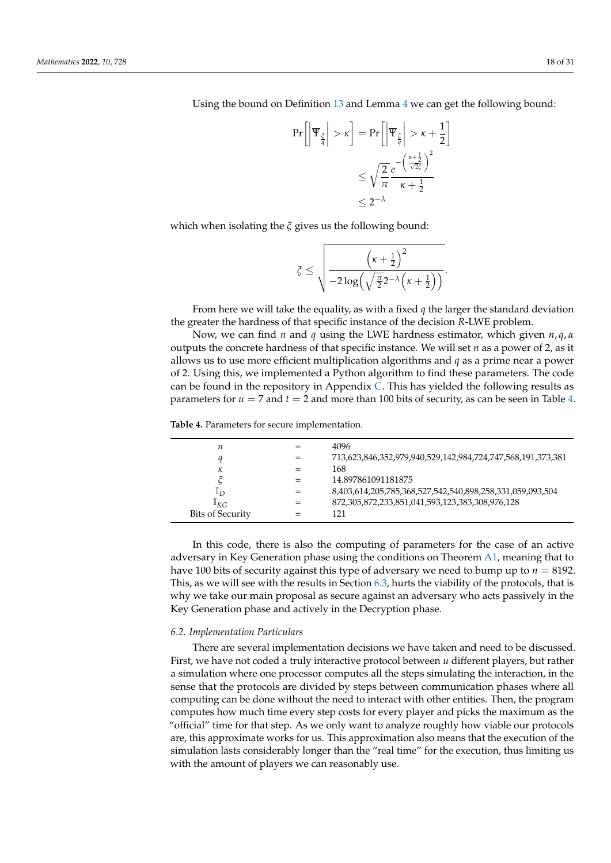Using the bound on Definition [13](#page-6-1) and Lemma [4](#page-16-2) we can get the following bound:

$$
\Pr\left[\left|\overline{\Psi}_{\frac{\zeta}{q}}\right| > \kappa\right] = \Pr\left[\left|\overline{\Psi}_{\frac{\zeta}{q}}\right| > \kappa + \frac{1}{2}\right] \\
\leq \sqrt{\frac{2}{\pi}} \frac{e^{-\left(\frac{\kappa + \frac{1}{2}}{\sqrt{2}\zeta}\right)^2}}{\kappa + \frac{1}{2}} \\
\leq 2^{-\lambda}
$$

which when isolating the *ξ* gives us the following bound:

$$
\xi \leq \sqrt{\frac{\left(\kappa+\frac{1}{2}\right)^2}{-2\log\left(\sqrt{\frac{\pi}{2}}2^{-\lambda}\left(\kappa+\frac{1}{2}\right)\right)}}.
$$

From here we will take the equality, as with a fixed *q* the larger the standard deviation the greater the hardness of that specific instance of the decision *R*-LWE problem.

Now, we can find *n* and *q* using the LWE hardness estimator, which given *n*, *q*, *α* outputs the concrete hardness of that specific instance. We will set *n* as a power of 2, as it allows us to use more efficient multiplication algorithms and *q* as a prime near a power of 2. Using this, we implemented a Python algorithm to find these parameters. The code can be found in the repository in Appendix [C.](#page-29-10) This has yielded the following results as parameters for  $u = 7$  and  $t = 2$  and more than 100 bits of security, as can be seen in Table [4.](#page-17-0)

<span id="page-17-0"></span>**Table 4.** Parameters for secure implementation.

| п                       |     | 4096                                                        |
|-------------------------|-----|-------------------------------------------------------------|
|                         | $=$ | 713,623,846,352,979,940,529,142,984,724,747,568,191,373,381 |
| κ                       |     | 168                                                         |
|                         |     | 14.897861091181875                                          |
| $\mathbb{I}_D$          | $=$ | 8,403,614,205,785,368,527,542,540,898,258,331,059,093,504   |
| $\mathbb{I}_{KG}$       | $=$ | 872,305,872,233,851,041,593,123,383,308,976,128             |
| <b>Bits of Security</b> |     | 121                                                         |
|                         |     |                                                             |

In this code, there is also the computing of parameters for the case of an active adversary in Key Generation phase using the conditions on Theorem [A1,](#page-22-2) meaning that to have 100 bits of security against this type of adversary we need to bump up to  $n = 8192$ . This, as we will see with the results in Section [6.3,](#page-18-0) hurts the viability of the protocols, that is why we take our main proposal as secure against an adversary who acts passively in the Key Generation phase and actively in the Decryption phase.

# *6.2. Implementation Particulars*

There are several implementation decisions we have taken and need to be discussed. First, we have not coded a truly interactive protocol between *u* different players, but rather a simulation where one processor computes all the steps simulating the interaction, in the sense that the protocols are divided by steps between communication phases where all computing can be done without the need to interact with other entities. Then, the program computes how much time every step costs for every player and picks the maximum as the "official" time for that step. As we only want to analyze roughly how viable our protocols are, this approximate works for us. This approximation also means that the execution of the simulation lasts considerably longer than the "real time" for the execution, thus limiting us with the amount of players we can reasonably use.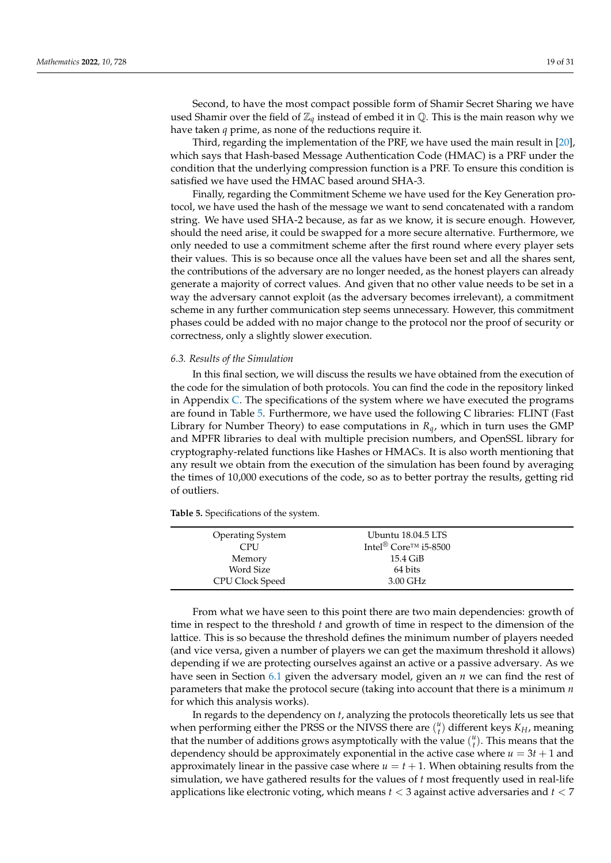Second, to have the most compact possible form of Shamir Secret Sharing we have used Shamir over the field of  $\mathbb{Z}_q$  instead of embed it in  $\mathbb{Q}$ . This is the main reason why we have taken *q* prime, as none of the reductions require it.

Third, regarding the implementation of the PRF, we have used the main result in [\[20\]](#page-30-2), which says that Hash-based Message Authentication Code (HMAC) is a PRF under the condition that the underlying compression function is a PRF. To ensure this condition is satisfied we have used the HMAC based around SHA-3.

Finally, regarding the Commitment Scheme we have used for the Key Generation protocol, we have used the hash of the message we want to send concatenated with a random string. We have used SHA-2 because, as far as we know, it is secure enough. However, should the need arise, it could be swapped for a more secure alternative. Furthermore, we only needed to use a commitment scheme after the first round where every player sets their values. This is so because once all the values have been set and all the shares sent, the contributions of the adversary are no longer needed, as the honest players can already generate a majority of correct values. And given that no other value needs to be set in a way the adversary cannot exploit (as the adversary becomes irrelevant), a commitment scheme in any further communication step seems unnecessary. However, this commitment phases could be added with no major change to the protocol nor the proof of security or correctness, only a slightly slower execution.

## <span id="page-18-0"></span>*6.3. Results of the Simulation*

In this final section, we will discuss the results we have obtained from the execution of the code for the simulation of both protocols. You can find the code in the repository linked in Appendix [C.](#page-29-10) The specifications of the system where we have executed the programs are found in Table [5.](#page-18-1) Furthermore, we have used the following C libraries: FLINT (Fast Library for Number Theory) to ease computations in *Rq*, which in turn uses the GMP and MPFR libraries to deal with multiple precision numbers, and OpenSSL library for cryptography-related functions like Hashes or HMACs. It is also worth mentioning that any result we obtain from the execution of the simulation has been found by averaging the times of 10,000 executions of the code, so as to better portray the results, getting rid of outliers.

<span id="page-18-1"></span>**Table 5.** Specifications of the system.

| <b>Operating System</b> | Ubuntu 18.04.5 LTS                            |  |
|-------------------------|-----------------------------------------------|--|
| CPU                     | Intel <sup>®</sup> Core <sup>TM</sup> i5-8500 |  |
| Memory                  | 15.4 GiB                                      |  |
| Word Size               | 64 bits                                       |  |
| <b>CPU Clock Speed</b>  | 3.00 GHz                                      |  |

From what we have seen to this point there are two main dependencies: growth of time in respect to the threshold *t* and growth of time in respect to the dimension of the lattice. This is so because the threshold defines the minimum number of players needed (and vice versa, given a number of players we can get the maximum threshold it allows) depending if we are protecting ourselves against an active or a passive adversary. As we have seen in Section [6.1](#page-16-1) given the adversary model, given an *n* we can find the rest of parameters that make the protocol secure (taking into account that there is a minimum *n* for which this analysis works).

In regards to the dependency on *t*, analyzing the protocols theoretically lets us see that when performing either the PRSS or the NIVSS there are  $\binom{u}{t}$  different keys  $K_H$ , meaning that the number of additions grows asymptotically with the value  $\binom{u}{t}$ . This means that the dependency should be approximately exponential in the active case where  $u = 3t + 1$  and approximately linear in the passive case where  $u = t + 1$ . When obtaining results from the simulation, we have gathered results for the values of *t* most frequently used in real-life applications like electronic voting, which means *t* < 3 against active adversaries and *t* < 7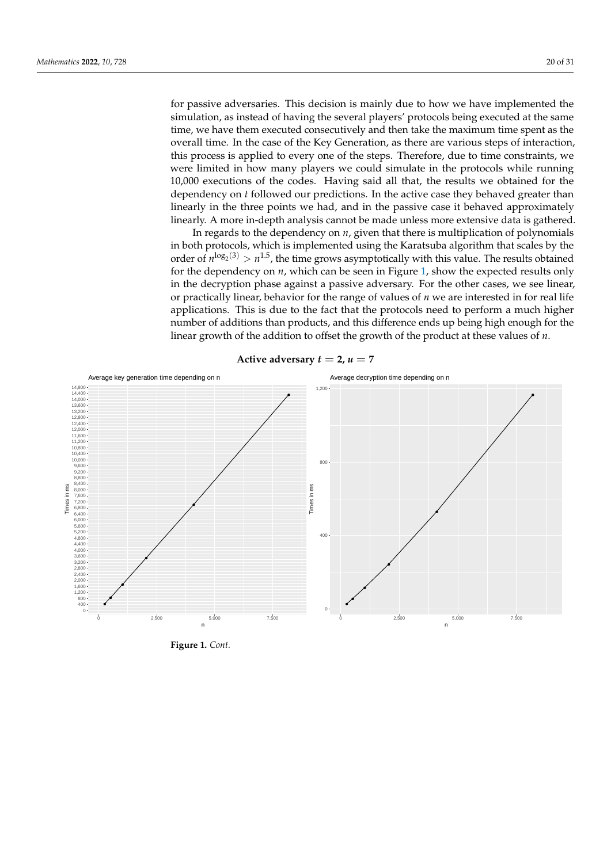for passive adversaries. This decision is mainly due to how we have implemented the simulation, as instead of having the several players' protocols being executed at the same time, we have them executed consecutively and then take the maximum time spent as the overall time. In the case of the Key Generation, as there are various steps of interaction, this process is applied to every one of the steps. Therefore, due to time constraints, we were limited in how many players we could simulate in the protocols while running 10,000 executions of the codes. Having said all that, the results we obtained for the dependency on *t* followed our predictions. In the active case they behaved greater than linearly in the three points we had, and in the passive case it behaved approximately linearly. A more in-depth analysis cannot be made unless more extensive data is gathered.

In regards to the dependency on *n*, given that there is multiplication of polynomials in both protocols, which is implemented using the Karatsuba algorithm that scales by the order of  $n^{\log_2(3)} > n^{1.5}$ , the time grows asymptotically with this value. The results obtained for the dependency on *n*, which can be seen in Figure [1,](#page-20-1) show the expected results only in the decryption phase against a passive adversary. For the other cases, we see linear, or practically linear, behavior for the range of values of *n* we are interested in for real life applications. This is due to the fact that the protocols need to perform a much higher number of additions than products, and this difference ends up being high enough for the linear growth of the addition to offset the growth of the product at these values of *n*.



**Active adversary**  $t = 2$ ,  $u = 7$ 

**Figure 1.** *Cont.*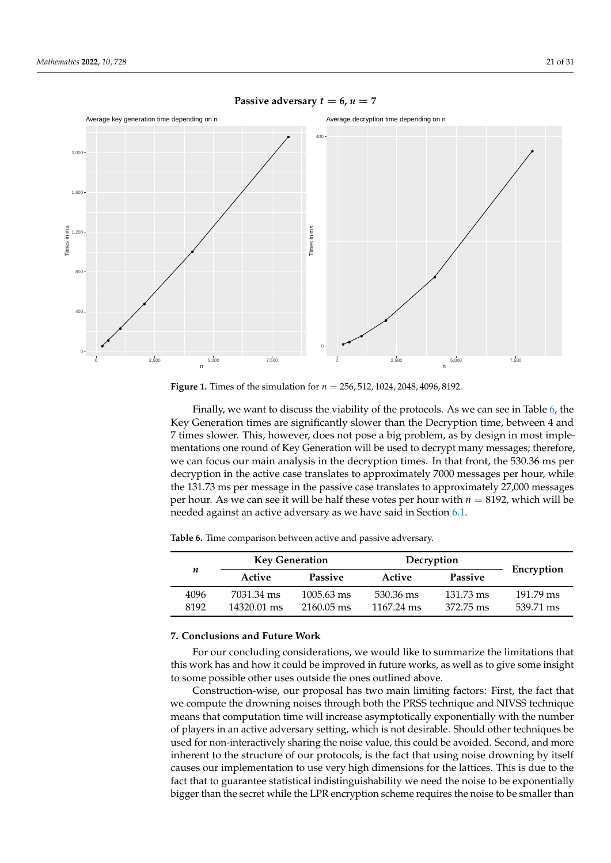

# <span id="page-20-1"></span>**Passive adversary**  $t = 6$ ,  $u = 7$

**Figure 1.** Times of the simulation for *n* = 256, 512, 1024, 2048, 4096, 8192*.*

Finally, we want to discuss the viability of the protocols. As we can see in Table [6,](#page-20-2) the Key Generation times are significantly slower than the Decryption time, between 4 and 7 times slower. This, however, does not pose a big problem, as by design in most implementations one round of Key Generation will be used to decrypt many messages; therefore, we can focus our main analysis in the decryption times. In that front, the 530.36 ms per decryption in the active case translates to approximately 7000 messages per hour, while the 131.73 ms per message in the passive case translates to approximately 27,000 messages per hour. As we can see it will be half these votes per hour with *n* = 8192, which will be needed against an active adversary as we have said in Section [6.1.](#page-16-1)

|      | <b>Key Generation</b> |                      | Decryption           |                     |                     |  |
|------|-----------------------|----------------------|----------------------|---------------------|---------------------|--|
| n    | Active                | <b>Passive</b>       | Active               | <b>Passive</b>      | Encryption          |  |
| 4096 | 7031.34 ms            | $1005.63 \text{ ms}$ | 530.36 ms            | $131.73 \text{ ms}$ | $191.79 \text{ ms}$ |  |
| 8192 | 14320.01 ms           | $2160.05$ ms         | $1167.24 \text{ ms}$ | 372.75 ms           | 539.71 ms           |  |

<span id="page-20-2"></span>**Table 6.** Time comparison between active and passive adversary.

## <span id="page-20-0"></span>**7. Conclusions and Future Work**

For our concluding considerations, we would like to summarize the limitations that this work has and how it could be improved in future works, as well as to give some insight to some possible other uses outside the ones outlined above.

Construction-wise, our proposal has two main limiting factors: First, the fact that we compute the drowning noises through both the PRSS technique and NIVSS technique means that computation time will increase asymptotically exponentially with the number of players in an active adversary setting, which is not desirable. Should other techniques be used for non-interactively sharing the noise value, this could be avoided. Second, and more inherent to the structure of our protocols, is the fact that using noise drowning by itself causes our implementation to use very high dimensions for the lattices. This is due to the fact that to guarantee statistical indistinguishability we need the noise to be exponentially bigger than the secret while the LPR encryption scheme requires the noise to be smaller than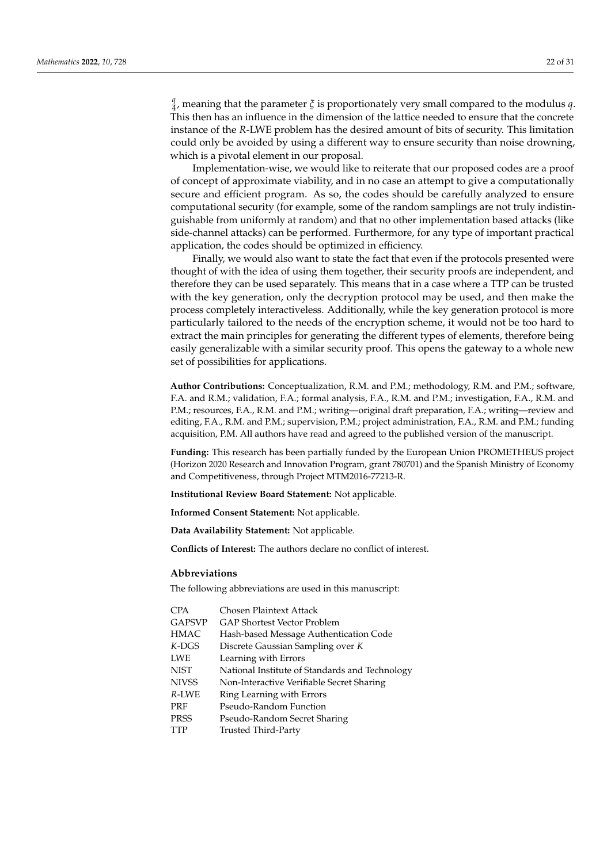*q* 4 , meaning that the parameter *ξ* is proportionately very small compared to the modulus *q*. This then has an influence in the dimension of the lattice needed to ensure that the concrete instance of the *R*-LWE problem has the desired amount of bits of security. This limitation could only be avoided by using a different way to ensure security than noise drowning, which is a pivotal element in our proposal.

Implementation-wise, we would like to reiterate that our proposed codes are a proof of concept of approximate viability, and in no case an attempt to give a computationally secure and efficient program. As so, the codes should be carefully analyzed to ensure computational security (for example, some of the random samplings are not truly indistinguishable from uniformly at random) and that no other implementation based attacks (like side-channel attacks) can be performed. Furthermore, for any type of important practical application, the codes should be optimized in efficiency.

Finally, we would also want to state the fact that even if the protocols presented were thought of with the idea of using them together, their security proofs are independent, and therefore they can be used separately. This means that in a case where a TTP can be trusted with the key generation, only the decryption protocol may be used, and then make the process completely interactiveless. Additionally, while the key generation protocol is more particularly tailored to the needs of the encryption scheme, it would not be too hard to extract the main principles for generating the different types of elements, therefore being easily generalizable with a similar security proof. This opens the gateway to a whole new set of possibilities for applications.

**Author Contributions:** Conceptualization, R.M. and P.M.; methodology, R.M. and P.M.; software, F.A. and R.M.; validation, F.A.; formal analysis, F.A., R.M. and P.M.; investigation, F.A., R.M. and P.M.; resources, F.A., R.M. and P.M.; writing—original draft preparation, F.A.; writing—review and editing, F.A., R.M. and P.M.; supervision, P.M.; project administration, F.A., R.M. and P.M.; funding acquisition, P.M. All authors have read and agreed to the published version of the manuscript.

**Funding:** This research has been partially funded by the European Union PROMETHEUS project (Horizon 2020 Research and Innovation Program, grant 780701) and the Spanish Ministry of Economy and Competitiveness, through Project MTM2016-77213-R.

**Institutional Review Board Statement:** Not applicable.

**Informed Consent Statement:** Not applicable.

**Data Availability Statement:** Not applicable.

**Conflicts of Interest:** The authors declare no conflict of interest.

## **Abbreviations**

The following abbreviations are used in this manuscript:

| <b>CPA</b>    | Chosen Plaintext Attack                        |
|---------------|------------------------------------------------|
| <b>GAPSVP</b> | <b>GAP Shortest Vector Problem</b>             |
| <b>HMAC</b>   | Hash-based Message Authentication Code         |
| $K$ -DGS      | Discrete Gaussian Sampling over K              |
| <b>LWE</b>    | Learning with Errors                           |
| <b>NIST</b>   | National Institute of Standards and Technology |
| <b>NIVSS</b>  | Non-Interactive Verifiable Secret Sharing      |
| R-LWE         | Ring Learning with Errors                      |
| <b>PRF</b>    | Pseudo-Random Function                         |
| <b>PRSS</b>   | Pseudo-Random Secret Sharing                   |
| TTP           | Trusted Third-Party                            |
|               |                                                |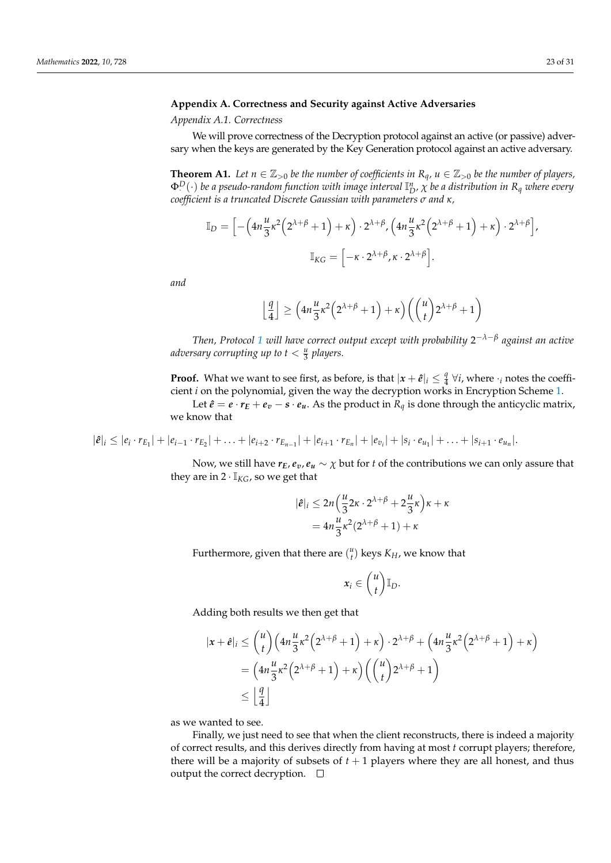# <span id="page-22-0"></span>**Appendix A. Correctness and Security against Active Adversaries**

<span id="page-22-1"></span>*Appendix A.1. Correctness*

We will prove correctness of the Decryption protocol against an active (or passive) adversary when the keys are generated by the Key Generation protocol against an active adversary.

<span id="page-22-2"></span>**Theorem A1.** Let  $n \in \mathbb{Z}_{>0}$  be the number of coefficients in  $R_q$ ,  $u \in \mathbb{Z}_{>0}$  be the number of players,  $\Phi^D(\cdot)$  *be a pseudo-random function with image interval*  $\mathbb{I}^n_D$ *,*  $\chi$  *<i>be a distribution in*  $R_q$  *where every coefficient is a truncated Discrete Gaussian with parameters σ and κ,*

$$
\mathbb{I}_D = \Big[ -\Big(4n\frac{u}{3}\kappa^2\Big(2^{\lambda+\beta}+1\Big)+\kappa\Big)\cdot 2^{\lambda+\beta}, \Big(4n\frac{u}{3}\kappa^2\Big(2^{\lambda+\beta}+1\Big)+\kappa\Big)\cdot 2^{\lambda+\beta}\Big],
$$
  

$$
\mathbb{I}_{KG} = \Big[-\kappa\cdot 2^{\lambda+\beta}, \kappa\cdot 2^{\lambda+\beta}\Big].
$$

*and*

$$
\left\lfloor \frac{q}{4} \right\rfloor \ge \left( 4n \frac{u}{3} \kappa^2 \left( 2^{\lambda+\beta} + 1 \right) + \kappa \right) \left( \binom{u}{t} 2^{\lambda+\beta} + 1 \right)
$$

*Then, Protocol [1](#page-7-2) will have correct output except with probability* 2 −*λ*−*β against an active adversary corrupting up to t* < *<sup>u</sup>* 3 *players.*

**Proof.** What we want to see first, as before, is that  $|x + \hat{e}|_i \leq \frac{q}{4}$  $\frac{q}{4}$   $\forall i$ , where  $\cdot_i$  notes the coefficient *i* on the polynomial, given the way the decryption works in Encryption Scheme [1.](#page-7-1)

Let  $\hat{e} = e \cdot r_E + e_v - s \cdot e_u$ . As the product in  $R_q$  is done through the anticyclic matrix, we know that

$$
|\hat{e}|_i \leq |e_i \cdot r_{E_1}| + |e_{i-1} \cdot r_{E_2}| + \ldots + |e_{i+2} \cdot r_{E_{n-1}}| + |e_{i+1} \cdot r_{E_n}| + |e_{v_i}| + |s_i \cdot e_{u_1}| + \ldots + |s_{i+1} \cdot e_{u_n}|.
$$

Now, we still have  $r_E$ ,  $e_v$ ,  $e_u \sim \chi$  but for *t* of the contributions we can only assure that they are in  $2 \cdot I_{KG}$ , so we get that

$$
|\hat{e}|_i \leq 2n\left(\frac{u}{3}2\kappa \cdot 2^{\lambda+\beta} + 2\frac{u}{3}\kappa\right)\kappa + \kappa
$$
  
=  $4n\frac{u}{3}\kappa^2(2^{\lambda+\beta}+1) + \kappa$ 

Furthermore, given that there are  $\binom{u}{t}$  keys  $K_H$ , we know that

$$
x_i\in {u \choose t} \mathbb{I}_D.
$$

Adding both results we then get that

$$
|x+\hat{e}|_i \le {u \choose t} \left(4n\frac{u}{3}\kappa^2\left(2^{\lambda+\beta}+1\right)+\kappa\right) \cdot 2^{\lambda+\beta}+\left(4n\frac{u}{3}\kappa^2\left(2^{\lambda+\beta}+1\right)+\kappa\right)
$$
  
= 
$$
\left(4n\frac{u}{3}\kappa^2\left(2^{\lambda+\beta}+1\right)+\kappa\right)\left({u \choose t}2^{\lambda+\beta}+1\right)
$$
  

$$
\leq \left\lfloor \frac{q}{4} \right\rfloor
$$

as we wanted to see.

Finally, we just need to see that when the client reconstructs, there is indeed a majority of correct results, and this derives directly from having at most *t* corrupt players; therefore, there will be a majority of subsets of  $t + 1$  players where they are all honest, and thus output the correct decryption.  $\square$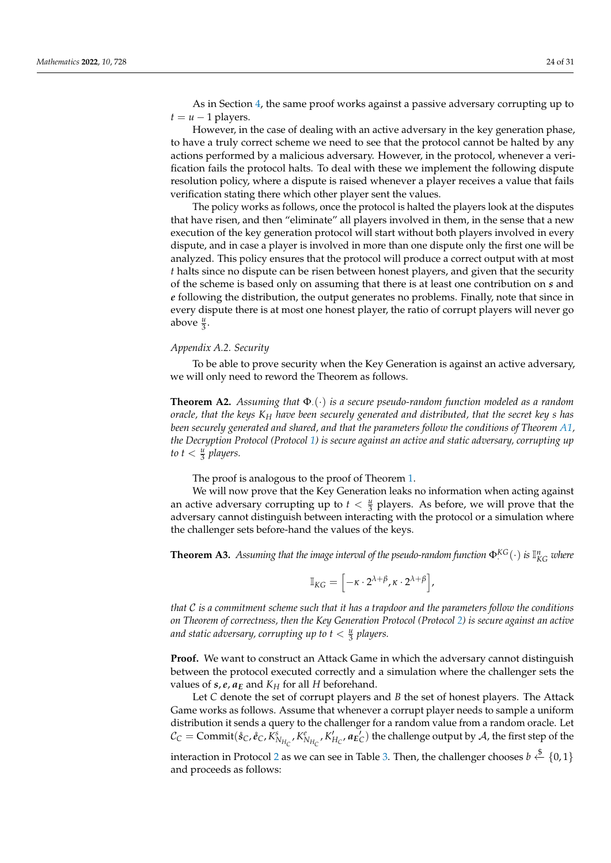However, in the case of dealing with an active adversary in the key generation phase, to have a truly correct scheme we need to see that the protocol cannot be halted by any actions performed by a malicious adversary. However, in the protocol, whenever a verification fails the protocol halts. To deal with these we implement the following dispute resolution policy, where a dispute is raised whenever a player receives a value that fails verification stating there which other player sent the values.

The policy works as follows, once the protocol is halted the players look at the disputes that have risen, and then "eliminate" all players involved in them, in the sense that a new execution of the key generation protocol will start without both players involved in every dispute, and in case a player is involved in more than one dispute only the first one will be analyzed. This policy ensures that the protocol will produce a correct output with at most *t* halts since no dispute can be risen between honest players, and given that the security of the scheme is based only on assuming that there is at least one contribution on *s* and *e* following the distribution, the output generates no problems. Finally, note that since in every dispute there is at most one honest player, the ratio of corrupt players will never go above  $\frac{u}{3}$ .

## <span id="page-23-0"></span>*Appendix A.2. Security*

To be able to prove security when the Key Generation is against an active adversary, we will only need to reword the Theorem as follows.

**Theorem A2.** *Assuming that* Φ·(·) *is a secure pseudo-random function modeled as a random oracle, that the keys K<sup>H</sup> have been securely generated and distributed, that the secret key s has been securely generated and shared, and that the parameters follow the conditions of Theorem [A1,](#page-22-2) the Decryption Protocol (Protocol [1\)](#page-7-2) is secure against an active and static adversary, corrupting up* to  $t < \frac{u}{3}$  players.

The proof is analogous to the proof of Theorem [1.](#page-10-1)

We will now prove that the Key Generation leaks no information when acting against an active adversary corrupting up to  $t < \frac{u}{3}$  players. As before, we will prove that the adversary cannot distinguish between interacting with the protocol or a simulation where the challenger sets before-hand the values of the keys.

<span id="page-23-1"></span>**Theorem A3.** Assuming that the image interval of the pseudo-random function  $\Phi^{KG}(\cdot)$  is  $\mathbb{I}_{KG}^n$  where

$$
\mathbb{I}_{KG} = \left[ -\kappa \cdot 2^{\lambda + \beta}, \kappa \cdot 2^{\lambda + \beta} \right],
$$

*that* C *is a commitment scheme such that it has a trapdoor and the parameters follow the conditions on Theorem of correctness, then the Key Generation Protocol (Protocol [2\)](#page-8-1) is secure against an active* and static adversary, corrupting up to  $t < \frac{u}{3}$  players.

**Proof.** We want to construct an Attack Game in which the adversary cannot distinguish between the protocol executed correctly and a simulation where the challenger sets the values of  $s$ ,  $e$ ,  $a_E$  and  $K_H$  for all *H* beforehand.

Let *C* denote the set of corrupt players and *B* the set of honest players. The Attack Game works as follows. Assume that whenever a corrupt player needs to sample a uniform distribution it sends a query to the challenger for a random value from a random oracle. Let  $\mathcal{C}_C = \text{Commit}(\mathring{s}_C, \mathring{e}_C, \tilde{K}_{N_{H_C}}^s, K_{N_{H_C}}^e, K_{H_C}', \mathscr{a}_{E_C}')$  the challenge output by  $\mathcal{A}$ , the first step of the

interaction in Protocol [2](#page-8-1) as we can see in Table [3.](#page-9-0) Then, the challenger chooses  $b \stackrel{\$}{\leftarrow} \{0,1\}$ and proceeds as follows: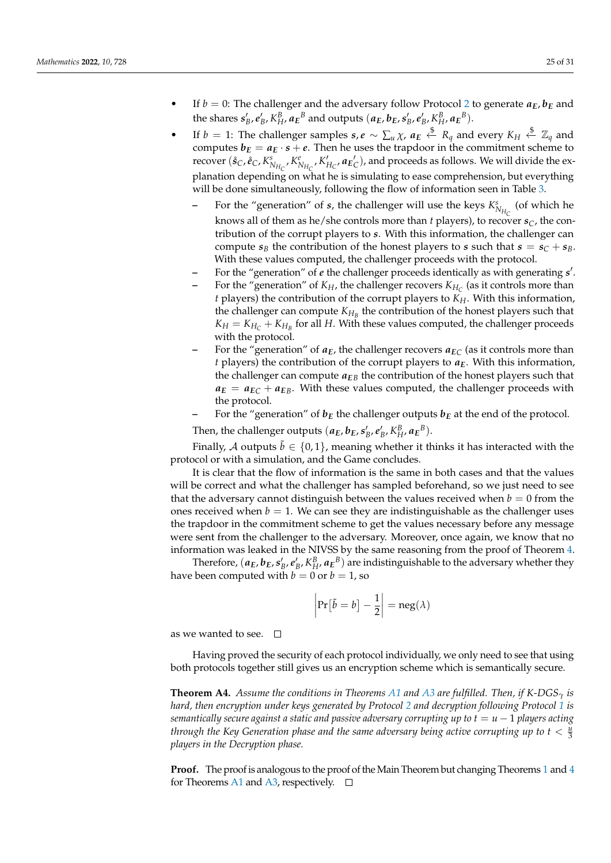- If  $b = 0$ : The challenger and the adversary follow Protocol [2](#page-8-1) to generate  $a_E$ ,  $b_E$  and the shares  $s'_B, e'_B, K^B_H, a_E^B$  and outputs  $(a_E, b_E, s'_B, e'_B, K^B_H, a_E^B)$ .
- If  $b = 1$ : The challenger samples  $s, e \sim \sum_u \chi$ ,  $a_E \stackrel{\$}{\leftarrow} R_q$  and every  $K_H \stackrel{\$}{\leftarrow} \mathbb{Z}_q$  and computes  $b_E = a_E \cdot s + e$ . Then he uses the trapdoor in the commitment scheme to recover  $(\hat{s}_C, \hat{e}_C, K^s_{N_{H_C}}, K^e_{N_{H_C}}, K'_{H_C}, \mathbf{a}_{E_C})$ , and proceeds as follows. We will divide the explanation depending on what he is simulating to ease comprehension, but everything will be done simultaneously, following the flow of information seen in Table [3.](#page-9-0)
	- **–** For the "generation" of *s*, the challenger will use the keys  $K_{N_{H_C}}^s$  (of which he knows all of them as he/she controls more than *t* players), to recover  $s_C$ , the contribution of the corrupt players to *s*. With this information, the challenger can compute  $s_B$  the contribution of the honest players to *s* such that  $s = s_C + s_B$ . With these values computed, the challenger proceeds with the protocol.
	- **–** For the "generation" of *e* the challenger proceeds identically as with generating *s* 0 .
	- **–** For the "generation" of *KH*, the challenger recovers *KH<sup>C</sup>* (as it controls more than *t* players) the contribution of the corrupt players to *KH*. With this information, the challenger can compute  $K_{H_B}$  the contribution of the honest players such that  $K_H = K_{H_C} + K_{H_B}$  for all *H*. With these values computed, the challenger proceeds with the protocol.
	- For the "generation" of  $a_E$ , the challenger recovers  $a_{EC}$  (as it controls more than *t* players) the contribution of the corrupt players to *aE*. With this information, the challenger can compute  $a_{FB}$  the contribution of the honest players such that  $a_E = a_{EC} + a_{EB}$ . With these values computed, the challenger proceeds with the protocol.
	- For the "generation" of  $b_E$  the challenger outputs  $b_E$  at the end of the protocol.

Then, the challenger outputs  $(a_E, b_E, s'_B, e'_B, K_H^B, a_E^B)$ .

Finally, A outputs  $\tilde{b} \in \{0, 1\}$ , meaning whether it thinks it has interacted with the protocol or with a simulation, and the Game concludes.

It is clear that the flow of information is the same in both cases and that the values will be correct and what the challenger has sampled beforehand, so we just need to see that the adversary cannot distinguish between the values received when  $b = 0$  from the ones received when  $b = 1$ . We can see they are indistinguishable as the challenger uses the trapdoor in the commitment scheme to get the values necessary before any message were sent from the challenger to the adversary. Moreover, once again, we know that no information was leaked in the NIVSS by the same reasoning from the proof of Theorem [4.](#page-14-0)

Therefore,  $(a_E, b_E, s'_B, e'_B, K_H^B, a_E^B)$  are indistinguishable to the adversary whether they have been computed with  $b = 0$  or  $b = 1$ , so

$$
\left|\Pr[\tilde{b}=b]-\frac{1}{2}\right|=\operatorname{neg}(\lambda)
$$

as we wanted to see.  $\square$ 

Having proved the security of each protocol individually, we only need to see that using both protocols together still gives us an encryption scheme which is semantically secure.

**Theorem A4.** *Assume the conditions in Theorems [A1](#page-22-2) and [A3](#page-23-1) are fulfilled. Then, if K-DGS<sup>γ</sup> is hard, then encryption under keys generated by Protocol [2](#page-8-1) and decryption following Protocol [1](#page-7-2) is semantically secure against a static and passive adversary corrupting up to*  $t = u - 1$  *players acting through the Key Generation phase and the same adversary being active corrupting up to*  $t < \frac{u}{3}$ *players in the Decryption phase.*

**Proof.** The proof is analogous to the proof of the Main Theorem but changing Theorems [1](#page-10-1) and [4](#page-14-0) for Theorems [A1](#page-22-2) and [A3,](#page-23-1) respectively.  $\square$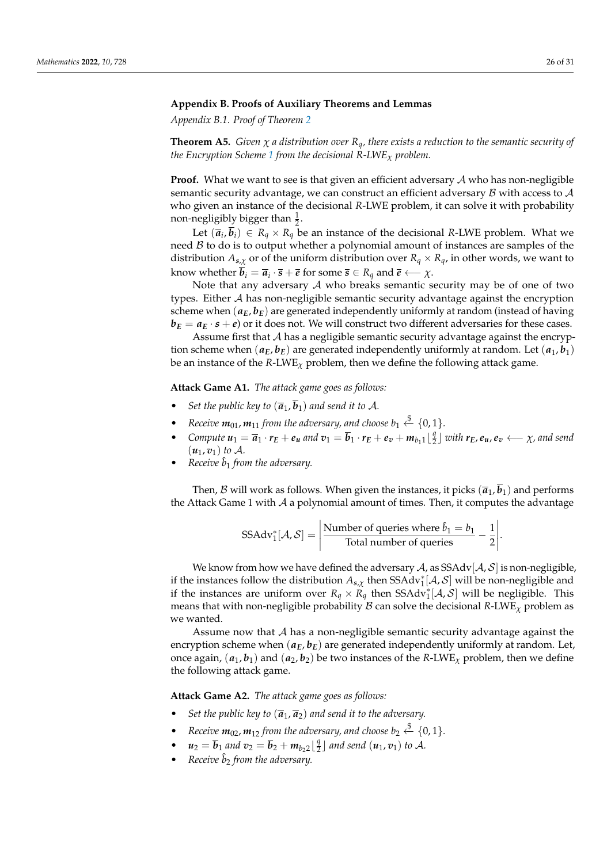## <span id="page-25-0"></span>**Appendix B. Proofs of Auxiliary Theorems and Lemmas**

*Appendix B.1. Proof of Theorem [2](#page-11-3)*

**Theorem A5.** *Given*  $\chi$  *a* distribution over  $R_q$ *, there exists a reduction to the semantic security of the Encryption Scheme [1](#page-7-1) from the decisional R-LWE<sup>χ</sup> problem.*

**Proof.** What we want to see is that given an efficient adversary A who has non-negligible semantic security advantage, we can construct an efficient adversary  $\beta$  with access to  $\mathcal A$ who given an instance of the decisional *R*-LWE problem, it can solve it with probability non-negligibly bigger than  $\frac{1}{2}$ .

Let  $(\overline{a}_i, \overline{b}_i) \in R_q \times R_q$  be an instance of the decisional *R*-LWE problem. What we need  $\beta$  to do is to output whether a polynomial amount of instances are samples of the distribution  $A_{s,\chi}$  or of the uniform distribution over  $R_q \times R_q$ , in other words, we want to  $k$ now whether  $b_i = \overline{a}_i \cdot \overline{s} + \overline{e}$  for some  $\overline{s} \in R_q$  and  $\overline{e} \longleftarrow \chi$ .

Note that any adversary A who breaks semantic security may be of one of two types. Either A has non-negligible semantic security advantage against the encryption scheme when  $(a_E, b_E)$  are generated independently uniformly at random (instead of having  $b_E = a_E \cdot s + e$  or it does not. We will construct two different adversaries for these cases.

Assume first that  $A$  has a negligible semantic security advantage against the encryption scheme when  $(a_E, b_E)$  are generated independently uniformly at random. Let  $(a_1, b_1)$ be an instance of the *R*-LWE*<sup>χ</sup>* problem, then we define the following attack game.

**Attack Game A1.** *The attack game goes as follows:*

- *Set the public key to*  $(\overline{a}_1, \overline{b}_1)$  *and send it to* A.
- Receive  $m_{01}$ ,  $m_{11}$  from the adversary, and choose  $b_1 \stackrel{\$}{\leftarrow} \{0,1\}$ .
- *Compute*  $u_1 = \overline{a}_1 \cdot r_E + e_u$  and  $v_1 = \overline{b}_1 \cdot r_E + e_v + m_{b_1 1} \lfloor \frac{q}{2} \rfloor$  $\frac{q}{2}$ ] with  $r_E$ ,  $e_u$ ,  $e_v \longleftarrow \chi$ , and send  $(u_1, v_1)$  *to*  $\mathcal{A}$ *.*
- $Receive \hat{b}_1$  *from the adversary.*

Then, B will work as follows. When given the instances, it picks  $(\bar{a}_1, \bar{b}_1)$  and performs the Attack Game 1 with  $\mathcal A$  a polynomial amount of times. Then, it computes the advantage

SSAdv<sub>1</sub><sup>\*</sup>[
$$
A
$$
,  $S$ ] =  $\left| \frac{\text{Number of queries where } \hat{b}_1 = b_1}{\text{Total number of queries}} - \frac{1}{2} \right|$ .

We know from how we have defined the adversary  $A$ , as  $SSAdv[A, S]$  is non-negligible, if the instances follow the distribution  $A_{s,\chi}$  then  $SSAdv_1^*[\mathcal{A}, \mathcal{S}]$  will be non-negligible and if the instances are uniform over  $R_q \times R_q$  then SSAd $\vec{v}_1^*[A, S]$  will be negligible. This means that with non-negligible probability  $\beta$  can solve the decisional *R*-LWE<sub>*x*</sub> problem as we wanted.

Assume now that A has a non-negligible semantic security advantage against the encryption scheme when  $(a_E, b_E)$  are generated independently uniformly at random. Let, once again,  $(a_1, b_1)$  and  $(a_2, b_2)$  be two instances of the *R*-LWE<sub>*x*</sub> problem, then we define the following attack game.

**Attack Game A2.** *The attack game goes as follows:*

- *Set the public key to*  $(\overline{a}_1, \overline{a}_2)$  *and send it to the adversary.*
- Receive  $m_{02}$ ,  $m_{12}$  from the adversary, and choose  $b_2 \stackrel{\$}{\leftarrow} \{0,1\}.$
- $u_2 = \overline{b}_1$  and  $v_2 = \overline{b}_2 + m_{b_2 2} \lfloor \frac{q}{2} \rfloor$  $\frac{q}{2}$ ] and send  $(u_1, v_1)$  to A.
- *Receive*  $\hat{b}_2$  *from the adversary.*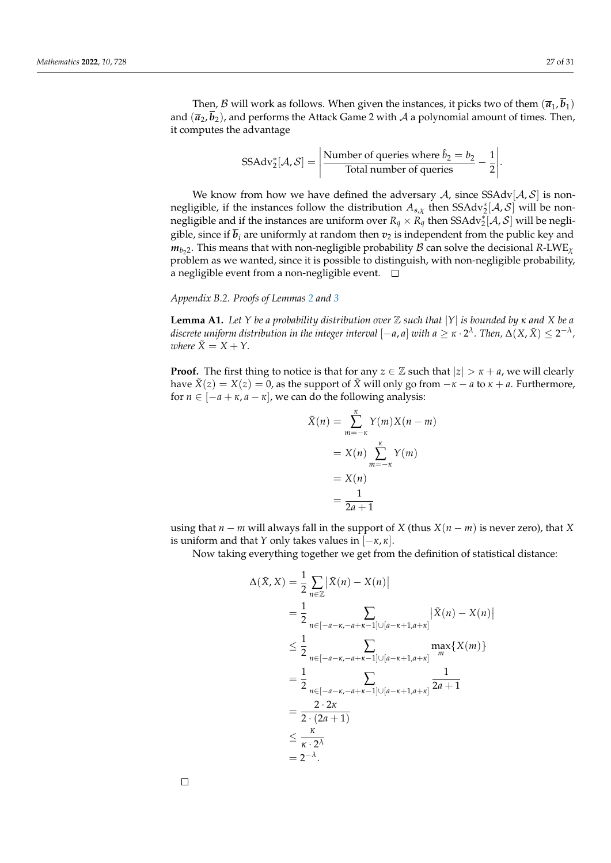Then, *B* will work as follows. When given the instances, it picks two of them  $(\overline{a}_1, \overline{b}_1)$ and  $(\bar{a}_2, b_2)$ , and performs the Attack Game 2 with A a polynomial amount of times. Then, it computes the advantage

SSAdv<sub>2</sub><sup>\*</sup>[
$$
A
$$
,  $S$ ] =  $\left| \frac{\text{Number of queries where } \hat{b}_2 = b_2}{\text{Total number of queries}} - \frac{1}{2} \right|$ .

We know from how we have defined the adversary  $A$ , since SSAdv $[A, \mathcal{S}]$  is nonnegligible, if the instances follow the distribution  $A_{s,\chi}$  then  $SSAdv_2^*[\mathcal{A}, \mathcal{S}]$  will be nonnegligible and if the instances are uniform over  $R_q \times R_q^2$  then SSAdv $_2^*[A, S]$  will be negligible, since if  $\overline{b}_i$  are uniformly at random then  $v_2$  is independent from the public key and  $m_{b_22}$ . This means that with non-negligible probability  ${\cal B}$  can solve the decisional  $R$ -LWE<sub> $\chi$ </sub> problem as we wanted, since it is possible to distinguish, with non-negligible probability, a negligible event from a non-negligible event.  $\Box$ 

# *Appendix B.2. Proofs of Lemmas [2](#page-13-0) and [3](#page-13-1)*

**Lemma A1.** *Let Y be a probability distribution over* Z *such that* |*Y*| *is bounded by κ and X be a* discrete uniform distribution in the integer interval  $[-a,a]$  with  $a\geq \kappa\cdot 2^\lambda$  . Then,  $\Delta(X,\tilde{X})\leq 2^{-\lambda}$  , *where*  $\tilde{X} = X + Y$ .

**Proof.** The first thing to notice is that for any  $z \in \mathbb{Z}$  such that  $|z| > \kappa + a$ , we will clearly have  $\tilde{X}(z) = X(z) = 0$ , as the support of  $\tilde{X}$  will only go from  $-\kappa - a$  to  $\kappa + a$ . Furthermore, for  $n \in [-a + \kappa, a - \kappa]$ , we can do the following analysis:

$$
\tilde{X}(n) = \sum_{m=-\kappa}^{\kappa} Y(m)X(n-m)
$$

$$
= X(n) \sum_{m=-\kappa}^{\kappa} Y(m)
$$

$$
= X(n)
$$

$$
= \frac{1}{2a+1}
$$

using that  $n - m$  will always fall in the support of *X* (thus  $X(n - m)$  is never zero), that *X* is uniform and that *Y* only takes values in  $[-\kappa, \kappa]$ .

Now taking everything together we get from the definition of statistical distance:

$$
\Delta(\tilde{X}, X) = \frac{1}{2} \sum_{n \in \mathbb{Z}} |\tilde{X}(n) - X(n)|
$$
  
\n
$$
= \frac{1}{2} \sum_{n \in [-a-\kappa, -a+\kappa-1] \cup [a-\kappa+1, a+\kappa]} |\tilde{X}(n) - X(n)|
$$
  
\n
$$
\leq \frac{1}{2} \sum_{n \in [-a-\kappa, -a+\kappa-1] \cup [a-\kappa+1, a+\kappa]} \max_{m} \{X(m)\}
$$
  
\n
$$
= \frac{1}{2} \sum_{n \in [-a-\kappa, -a+\kappa-1] \cup [a-\kappa+1, a+\kappa]} \frac{1}{2a+1}
$$
  
\n
$$
= \frac{2 \cdot 2\kappa}{2 \cdot (2a+1)}
$$
  
\n
$$
\leq \frac{\kappa}{\kappa \cdot 2^{\lambda}}
$$
  
\n
$$
= 2^{-\lambda}.
$$

 $\Box$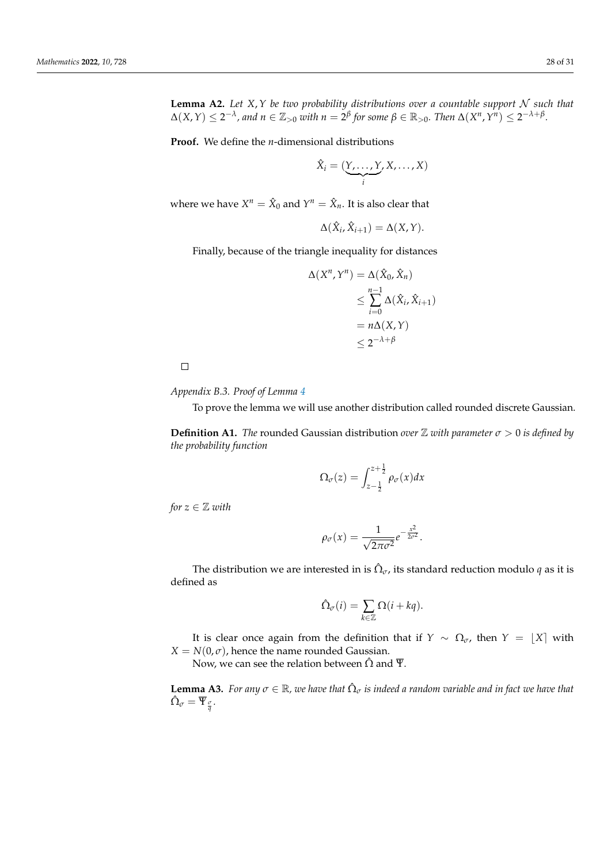**Proof.** We define the *n*-dimensional distributions

$$
\hat{X}_i = (\underbrace{Y, \ldots, Y}_{i}, X, \ldots, X)
$$

where we have  $X^n = \hat{X}_0$  and  $Y^n = \hat{X}_n$ . It is also clear that

$$
\Delta(\hat{X}_i, \hat{X}_{i+1}) = \Delta(X, Y).
$$

Finally, because of the triangle inequality for distances

$$
\Delta(X^n, Y^n) = \Delta(\hat{X}_0, \hat{X}_n)
$$
  
\n
$$
\leq \sum_{i=0}^{n-1} \Delta(\hat{X}_i, \hat{X}_{i+1})
$$
  
\n
$$
= n\Delta(X, Y)
$$
  
\n
$$
\leq 2^{-\lambda + \beta}
$$

 $\Box$ 

*Appendix B.3. Proof of Lemma [4](#page-16-2)*

To prove the lemma we will use another distribution called rounded discrete Gaussian.

**Definition A1.** *The* rounded Gaussian distribution *over*  $\mathbb Z$  *with parameter*  $\sigma > 0$  *is defined by the probability function*

$$
\Omega_{\sigma}(z) = \int_{z-\frac{1}{2}}^{z+\frac{1}{2}} \rho_{\sigma}(x) dx
$$

*for*  $z \in \mathbb{Z}$  *with* 

$$
\rho_{\sigma}(x) = \frac{1}{\sqrt{2\pi\sigma^2}}e^{-\frac{x^2}{2\sigma^2}}
$$

.

The distribution we are interested in is  $\hat{\Omega}_{\sigma}$ , its standard reduction modulo  $q$  as it is defined as

$$
\hat{\Omega}_{\sigma}(i) = \sum_{k \in \mathbb{Z}} \Omega(i + kq).
$$

It is clear once again from the definition that if *Y* ~  $\Omega_{\sigma}$ , then *Y* = [*X*] with  $X = N(0, \sigma)$ , hence the name rounded Gaussian.

Now, we can see the relation between  $\hat{\Omega}$  and  $\overline{\Psi}$ .

<span id="page-27-0"></span>**Lemma A3.** *For any*  $\sigma \in \mathbb{R}$ , we have that  $\hat{\Omega}_{\sigma}$  is indeed a random variable and in fact we have that  $\hat{\Omega}_{\sigma}=\overline{\Psi}_{\frac{\sigma}{q}}.$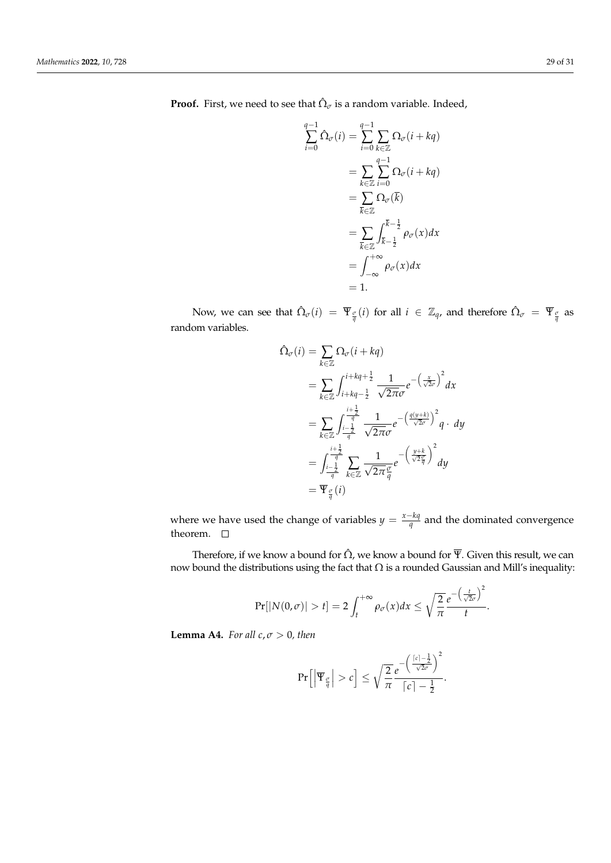**Proof.** First, we need to see that  $\hat{\Omega}_{\sigma}$  is a random variable. Indeed,

$$
\sum_{i=0}^{q-1} \hat{\Omega}_{\sigma}(i) = \sum_{i=0}^{q-1} \sum_{k \in \mathbb{Z}} \Omega_{\sigma}(i + kq)
$$
  
= 
$$
\sum_{k \in \mathbb{Z}} \sum_{i=0}^{q-1} \Omega_{\sigma}(i + kq)
$$
  
= 
$$
\sum_{\overline{k} \in \mathbb{Z}} \Omega_{\sigma}(\overline{k})
$$
  
= 
$$
\sum_{\overline{k} \in \mathbb{Z}} \int_{\overline{k}-\frac{1}{2}}^{\overline{k}-\frac{1}{2}} \rho_{\sigma}(x) dx
$$
  
= 
$$
\int_{-\infty}^{+\infty} \rho_{\sigma}(x) dx
$$
  
= 1.

Now, we can see that  $\hat{\Omega}_{\sigma}(i) = \overline{\Psi}_{\frac{\sigma}{q}}(i)$  for all  $i \in \mathbb{Z}_q$ , and therefore  $\hat{\Omega}_{\sigma} = \overline{\Psi}_{\frac{\sigma}{q}}$  as random variables.

$$
\begin{split} \hat{\Omega}_{\sigma}(i) &= \sum_{k \in \mathbb{Z}} \Omega_{\sigma}(i + kq) \\ &= \sum_{k \in \mathbb{Z}} \int_{i + kq - \frac{1}{2}}^{i + kq + \frac{1}{2}} \frac{1}{\sqrt{2\pi}\sigma} e^{-\left(\frac{x}{\sqrt{2}\sigma}\right)^2} dx \\ &= \sum_{k \in \mathbb{Z}} \int_{\frac{i - \frac{1}{2}}{q}}^{\frac{i + \frac{1}{2}}{q}} \frac{1}{\sqrt{2\pi}\sigma} e^{-\left(\frac{q(y + k)}{\sqrt{2}\sigma}\right)^2} q \cdot dy \\ &= \int_{\frac{i - \frac{1}{2}}{q}}^{\frac{i + \frac{1}{2}}{q}} \sum_{k \in \mathbb{Z}} \frac{1}{\sqrt{2\pi}\frac{\sigma}{q}} e^{-\left(\frac{y + k}{\sqrt{2}\frac{\sigma}{q}}\right)^2} dy \\ &= \overline{\Psi}_{\frac{\sigma}{q}}(i) \end{split}
$$

where we have used the change of variables  $y = \frac{x - kq}{q}$  $\frac{\tau_{Mq}}{q}$  and the dominated convergence theorem.  $\quad \Box$ 

Therefore, if we know a bound for  $\hat{\Omega}$ , we know a bound for  $\overline{\Psi}$ . Given this result, we can now bound the distributions using the fact that  $\Omega$  is a rounded Gaussian and Mill's inequality:

$$
\Pr[|N(0,\sigma)| > t] = 2\int_t^{+\infty} \rho_{\sigma}(x)dx \leq \sqrt{\frac{2}{\pi}}\frac{e^{-\left(\frac{t}{\sqrt{2}\sigma}\right)^2}}{t}.
$$

**Lemma A4.** *For all*  $c, \sigma > 0$ *, then* 

$$
\Pr\Big[\Big|\overline{\Psi}_{\frac{\sigma}{q}}\Big| > c\Big] \leq \sqrt{\frac{2}{\pi}} \frac{e^{-\left(\frac{[c]-\frac{1}{2}}{\sqrt{2}\sigma}\right)^2}}{[c]-\frac{1}{2}}.
$$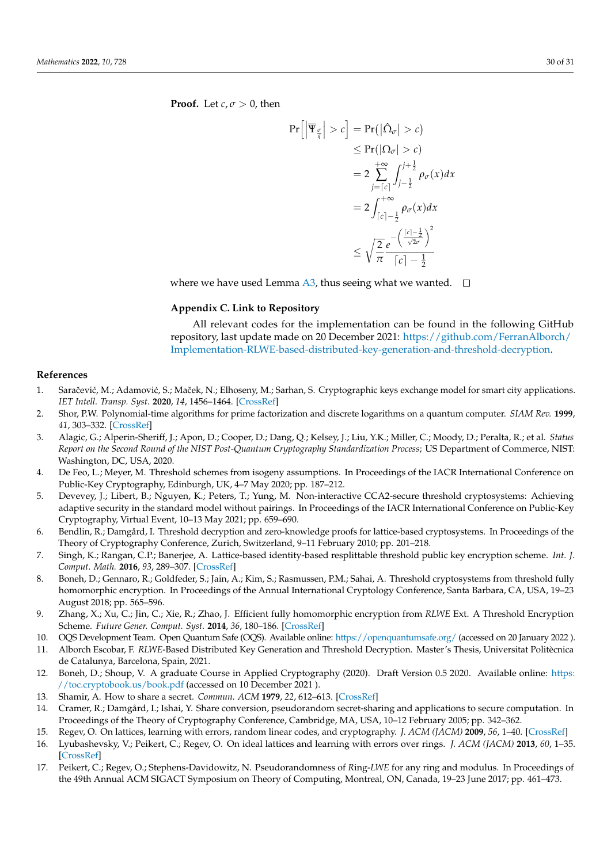**Proof.** Let  $c, \sigma > 0$ , then

$$
\Pr\left[\left|\overline{\Psi}_{\frac{\sigma}{q}}\right| > c\right] = \Pr(|\hat{\Omega}_{\sigma}| > c)
$$
  
\n
$$
\leq \Pr(|\Omega_{\sigma}| > c)
$$
  
\n
$$
= 2 \sum_{j=\lceil c \rceil}^{+\infty} \int_{j-\frac{1}{2}}^{j+\frac{1}{2}} \rho_{\sigma}(x) dx
$$
  
\n
$$
= 2 \int_{\lceil c \rceil - \frac{1}{2}}^{+\infty} \rho_{\sigma}(x) dx
$$
  
\n
$$
\leq \sqrt{\frac{2}{\pi}} \frac{e^{-\left(\frac{\lceil c \rceil - \frac{1}{2}}{\sqrt{2}\sigma}\right)^2}}{\lceil c \rceil - \frac{1}{2}}
$$

where we have used Lemma [A3,](#page-27-0) thus seeing what we wanted.  $\square$ 

# <span id="page-29-10"></span>**Appendix C. Link to Repository**

All relevant codes for the implementation can be found in the following GitHub repository, last update made on 20 December 2021: [https://github.com/FerranAlborch/](https://github.com/FerranAlborch/Implementation-RLWE-based-distributed-key-generation-and-threshold-decryption) [Implementation-RLWE-based-distributed-key-generation-and-threshold-decryption.](https://github.com/FerranAlborch/Implementation-RLWE-based-distributed-key-generation-and-threshold-decryption)

## **References**

- <span id="page-29-0"></span>1. Saračević, M.; Adamović, S.; Maček, N.; Elhoseny, M.; Sarhan, S. Cryptographic keys exchange model for smart city applications. *IET Intell. Transp. Syst.* **2020**, *14*, 1456–1464. [\[CrossRef\]](http://doi.org/10.1049/iet-its.2019.0855)
- <span id="page-29-1"></span>2. Shor, P.W. Polynomial-time algorithms for prime factorization and discrete logarithms on a quantum computer. *SIAM Rev.* **1999**, *41*, 303–332. [\[CrossRef\]](http://dx.doi.org/10.1137/S0036144598347011)
- <span id="page-29-2"></span>3. Alagic, G.; Alperin-Sheriff, J.; Apon, D.; Cooper, D.; Dang, Q.; Kelsey, J.; Liu, Y.K.; Miller, C.; Moody, D.; Peralta, R.; et al. *Status Report on the Second Round of the NIST Post-Quantum Cryptography Standardization Process*; US Department of Commerce, NIST: Washington, DC, USA, 2020.
- <span id="page-29-3"></span>4. De Feo, L.; Meyer, M. Threshold schemes from isogeny assumptions. In Proceedings of the IACR International Conference on Public-Key Cryptography, Edinburgh, UK, 4–7 May 2020; pp. 187–212.
- <span id="page-29-4"></span>5. Devevey, J.; Libert, B.; Nguyen, K.; Peters, T.; Yung, M. Non-interactive CCA2-secure threshold cryptosystems: Achieving adaptive security in the standard model without pairings. In Proceedings of the IACR International Conference on Public-Key Cryptography, Virtual Event, 10–13 May 2021; pp. 659–690.
- <span id="page-29-8"></span>6. Bendlin, R.; Damgård, I. Threshold decryption and zero-knowledge proofs for lattice-based cryptosystems. In Proceedings of the Theory of Cryptography Conference, Zurich, Switzerland, 9–11 February 2010; pp. 201–218.
- <span id="page-29-9"></span>7. Singh, K.; Rangan, C.P.; Banerjee, A. Lattice-based identity-based resplittable threshold public key encryption scheme. *Int. J. Comput. Math.* **2016**, *93*, 289–307. [\[CrossRef\]](http://dx.doi.org/10.1080/00207160.2014.928286)
- <span id="page-29-5"></span>8. Boneh, D.; Gennaro, R.; Goldfeder, S.; Jain, A.; Kim, S.; Rasmussen, P.M.; Sahai, A. Threshold cryptosystems from threshold fully homomorphic encryption. In Proceedings of the Annual International Cryptology Conference, Santa Barbara, CA, USA, 19–23 August 2018; pp. 565–596.
- <span id="page-29-6"></span>9. Zhang, X.; Xu, C.; Jin, C.; Xie, R.; Zhao, J. Efficient fully homomorphic encryption from *RLWE* Ext. A Threshold Encryption Scheme. *Future Gener. Comput. Syst.* **2014**, *36*, 180–186. [\[CrossRef\]](http://dx.doi.org/10.1016/j.future.2013.10.024)
- <span id="page-29-7"></span>10. OQS Development Team. Open Quantum Safe (OQS). Available online: <https://openquantumsafe.org/> (accessed on 20 January 2022 ).
- <span id="page-29-11"></span>11. Alborch Escobar, F. *RLWE*-Based Distributed Key Generation and Threshold Decryption. Master's Thesis, Universitat Politècnica de Catalunya, Barcelona, Spain, 2021.
- <span id="page-29-12"></span>12. Boneh, D.; Shoup, V. A graduate Course in Applied Cryptography (2020). Draft Version 0.5 2020. Available online: [https:](https://toc.cryptobook.us/book.pdf) [//toc.cryptobook.us/book.pdf](https://toc.cryptobook.us/book.pdf) (accessed on 10 December 2021 ).
- <span id="page-29-13"></span>13. Shamir, A. How to share a secret. *Commun. ACM* **1979**, *22*, 612–613. [\[CrossRef\]](http://dx.doi.org/10.1145/359168.359176)
- <span id="page-29-14"></span>14. Cramer, R.; Damgård, I.; Ishai, Y. Share conversion, pseudorandom secret-sharing and applications to secure computation. In Proceedings of the Theory of Cryptography Conference, Cambridge, MA, USA, 10–12 February 2005; pp. 342–362.
- <span id="page-29-15"></span>15. Regev, O. On lattices, learning with errors, random linear codes, and cryptography. *J. ACM (JACM)* **2009**, *56*, 1–40. [\[CrossRef\]](http://dx.doi.org/10.1145/1568318.1568324)
- <span id="page-29-16"></span>16. Lyubashevsky, V.; Peikert, C.; Regev, O. On ideal lattices and learning with errors over rings. *J. ACM (JACM)* **2013**, *60*, 1–35. [\[CrossRef\]](http://dx.doi.org/10.1145/2535925)
- <span id="page-29-17"></span>17. Peikert, C.; Regev, O.; Stephens-Davidowitz, N. Pseudorandomness of *R*ing-*LWE* for any ring and modulus. In Proceedings of the 49th Annual ACM SIGACT Symposium on Theory of Computing, Montreal, ON, Canada, 19–23 June 2017; pp. 461–473.